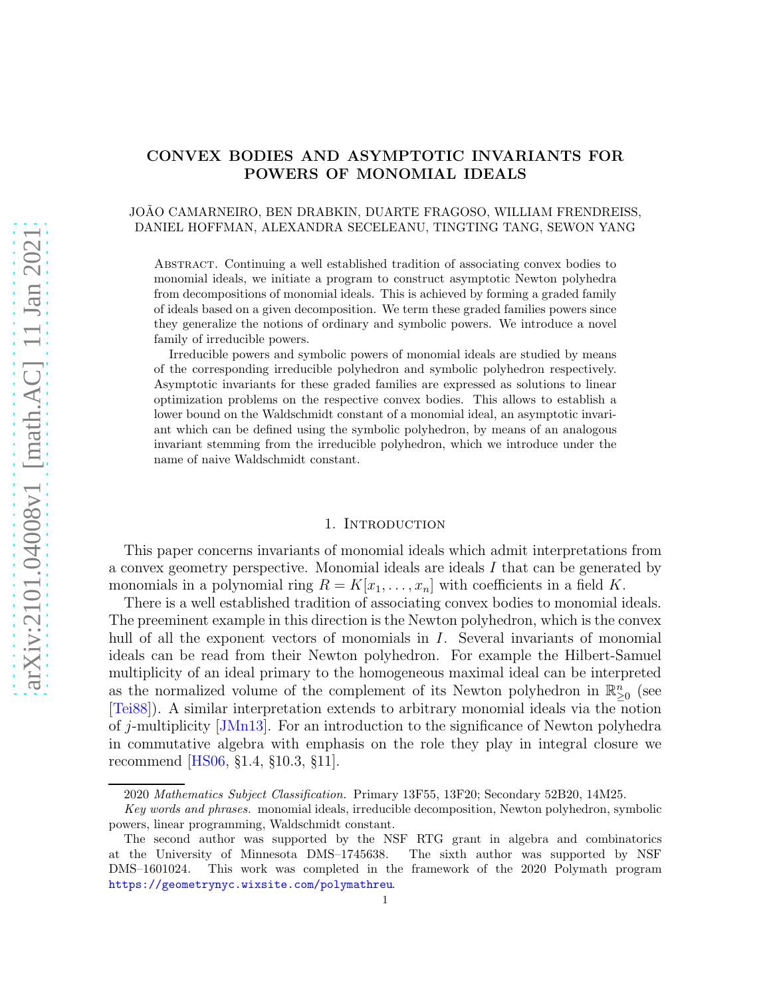# CONVEX BODIES AND ASYMPTOTIC INVARIANTS FOR POWERS OF MONOMIAL IDEALS

## JOAO CAMARNEIRO, BEN DRABKIN, DUARTE FRAGOSO, WILLIAM FRENDREISS, DANIEL HOFFMAN, ALEXANDRA SECELEANU, TINGTING TANG, SEWON YANG

Abstract. Continuing a well established tradition of associating convex bodies to monomial ideals, we initiate a program to construct asymptotic Newton polyhedra from decompositions of monomial ideals. This is achieved by forming a graded family of ideals based on a given decomposition. We term these graded families powers since they generalize the notions of ordinary and symbolic powers. We introduce a novel family of irreducible powers.

Irreducible powers and symbolic powers of monomial ideals are studied by means of the corresponding irreducible polyhedron and symbolic polyhedron respectively. Asymptotic invariants for these graded families are expressed as solutions to linear optimization problems on the respective convex bodies. This allows to establish a lower bound on the Waldschmidt constant of a monomial ideal, an asymptotic invariant which can be defined using the symbolic polyhedron, by means of an analogous invariant stemming from the irreducible polyhedron, which we introduce under the name of naive Waldschmidt constant.

#### 1. INTRODUCTION

This paper concerns invariants of monomial ideals which admit interpretations from a convex geometry perspective. Monomial ideals are ideals I that can be generated by monomials in a polynomial ring  $R = K[x_1, \ldots, x_n]$  with coefficients in a field K.

There is a well established tradition of associating convex bodies to monomial ideals. The preeminent example in this direction is the Newton polyhedron, which is the convex hull of all the exponent vectors of monomials in I. Several invariants of monomial ideals can be read from their Newton polyhedron. For example the Hilbert-Samuel multiplicity of an ideal primary to the homogeneous maximal ideal can be interpreted as the normalized volume of the complement of its Newton polyhedron in  $\mathbb{R}^n_{\geq 0}$  (see [\[Tei88\]](#page-20-0)). A similar interpretation extends to arbitrary monomial ideals via the notion of j-multiplicity [\[JMn13\]](#page-20-1). For an introduction to the significance of Newton polyhedra in commutative algebra with emphasis on the role they play in integral closure we recommend [\[HS06,](#page-20-2) §1.4, §10.3, §11].

<sup>2020</sup> Mathematics Subject Classification. Primary 13F55, 13F20; Secondary 52B20, 14M25.

Key words and phrases. monomial ideals, irreducible decomposition, Newton polyhedron, symbolic powers, linear programming, Waldschmidt constant.

The second author was supported by the NSF RTG grant in algebra and combinatorics at the University of Minnesota DMS–1745638. The sixth author was supported by NSF DMS–1601024. This work was completed in the framework of the 2020 Polymath program <https://geometrynyc.wixsite.com/polymathreu>.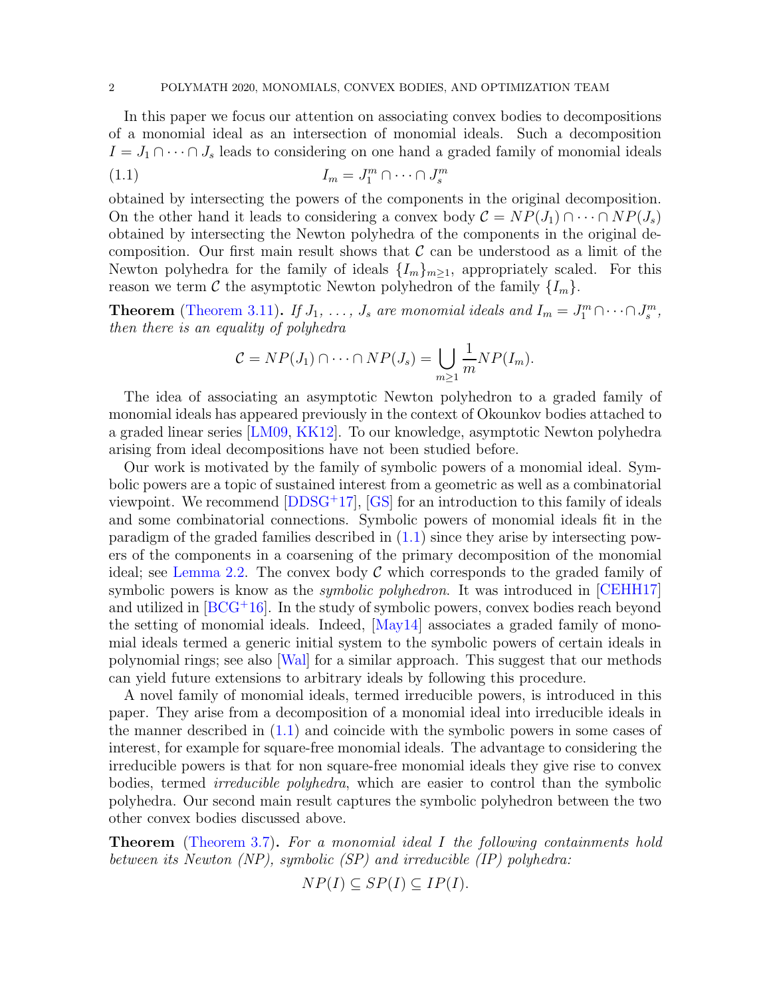#### 2 POLYMATH 2020, MONOMIALS, CONVEX BODIES, AND OPTIMIZATION TEAM

In this paper we focus our attention on associating convex bodies to decompositions of a monomial ideal as an intersection of monomial ideals. Such a decomposition  $I = J_1 \cap \cdots \cap J_s$  leads to considering on one hand a graded family of monomial ideals

$$
(1.1) \t I_m = J_1^m \cap \cdots \cap J_s^m
$$

obtained by intersecting the powers of the components in the original decomposition. On the other hand it leads to considering a convex body  $\mathcal{C} = NP(J_1) \cap \cdots \cap NP(J_s)$ obtained by intersecting the Newton polyhedra of the components in the original decomposition. Our first main result shows that  $\mathcal C$  can be understood as a limit of the Newton polyhedra for the family of ideals  $\{I_m\}_{m\geq 1}$ , appropriately scaled. For this reason we term C the asymptotic Newton polyhedron of the family  $\{I_m\}$ .

**Theorem** [\(Theorem 3.11\)](#page-8-0). If  $J_1, \ldots, J_s$  are monomial ideals and  $I_m = J_1^m \cap \cdots \cap J_s^m$ , then there is an equality of polyhedra

<span id="page-1-0"></span>
$$
C = NP(J_1) \cap \cdots \cap NP(J_s) = \bigcup_{m \geq 1} \frac{1}{m} NP(I_m).
$$

The idea of associating an asymptotic Newton polyhedron to a graded family of monomial ideals has appeared previously in the context of Okounkov bodies attached to a graded linear series [\[LM09,](#page-20-3) [KK12\]](#page-20-4). To our knowledge, asymptotic Newton polyhedra arising from ideal decompositions have not been studied before.

Our work is motivated by the family of symbolic powers of a monomial ideal. Symbolic powers are a topic of sustained interest from a geometric as well as a combinatorial viewpoint. We recommend [\[DDSG](#page-19-0)<sup>+</sup>17], [\[GS\]](#page-19-1) for an introduction to this family of ideals and some combinatorial connections. Symbolic powers of monomial ideals fit in the paradigm of the graded families described in [\(1.1\)](#page-1-0) since they arise by intersecting powers of the components in a coarsening of the primary decomposition of the monomial ideal; see [Lemma 2.2.](#page-3-0) The convex body  $\mathcal C$  which corresponds to the graded family of symbolic powers is know as the *symbolic polyhedron*. It was introduced in [\[CEHH17\]](#page-19-2) and utilized in  $[BCG^+16]$ . In the study of symbolic powers, convex bodies reach beyond the setting of monomial ideals. Indeed, [\[May14\]](#page-20-5) associates a graded family of monomial ideals termed a generic initial system to the symbolic powers of certain ideals in polynomial rings; see also [\[Wal\]](#page-20-6) for a similar approach. This suggest that our methods can yield future extensions to arbitrary ideals by following this procedure.

A novel family of monomial ideals, termed irreducible powers, is introduced in this paper. They arise from a decomposition of a monomial ideal into irreducible ideals in the manner described in [\(1.1\)](#page-1-0) and coincide with the symbolic powers in some cases of interest, for example for square-free monomial ideals. The advantage to considering the irreducible powers is that for non square-free monomial ideals they give rise to convex bodies, termed irreducible polyhedra, which are easier to control than the symbolic polyhedra. Our second main result captures the symbolic polyhedron between the two other convex bodies discussed above.

**Theorem** [\(Theorem 3.7\)](#page-7-0). For a monomial ideal I the following containments hold between its Newton (NP), symbolic (SP) and irreducible (IP) polyhedra:

 $NP(I) \subseteq SP(I) \subseteq IP(I).$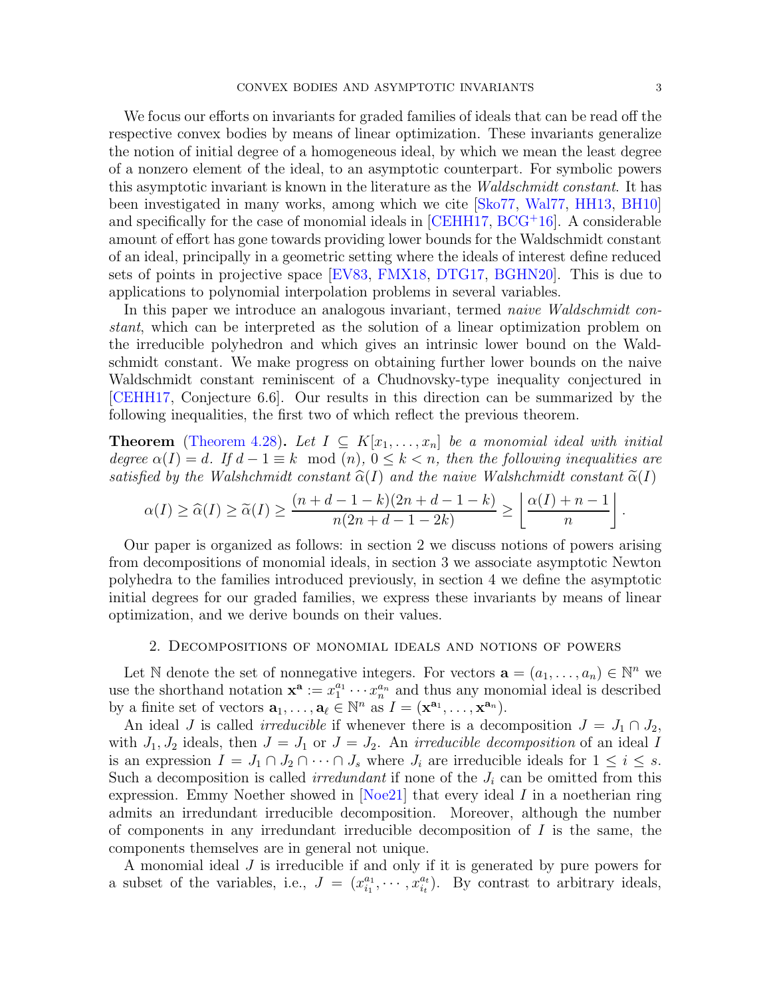We focus our efforts on invariants for graded families of ideals that can be read off the respective convex bodies by means of linear optimization. These invariants generalize the notion of initial degree of a homogeneous ideal, by which we mean the least degree of a nonzero element of the ideal, to an asymptotic counterpart. For symbolic powers this asymptotic invariant is known in the literature as the Waldschmidt constant. It has been investigated in many works, among which we cite [\[Sko77,](#page-20-7) [Wal77,](#page-20-8) [HH13,](#page-20-9) [BH10\]](#page-19-4) and specifically for the case of monomial ideals in  $[CEHH17, BCG+16]$  $[CEHH17, BCG+16]$  $[CEHH17, BCG+16]$ . A considerable amount of effort has gone towards providing lower bounds for the Waldschmidt constant of an ideal, principally in a geometric setting where the ideals of interest define reduced sets of points in projective space [\[EV83,](#page-19-5) [FMX18,](#page-19-6) [DTG17,](#page-19-7) [BGHN20\]](#page-19-8). This is due to applications to polynomial interpolation problems in several variables.

In this paper we introduce an analogous invariant, termed *naive Waldschmidt con*stant, which can be interpreted as the solution of a linear optimization problem on the irreducible polyhedron and which gives an intrinsic lower bound on the Waldschmidt constant. We make progress on obtaining further lower bounds on the naive Waldschmidt constant reminiscent of a Chudnovsky-type inequality conjectured in [\[CEHH17,](#page-19-2) Conjecture 6.6]. Our results in this direction can be summarized by the following inequalities, the first two of which reflect the previous theorem.

**Theorem** [\(Theorem 4.28\)](#page-19-9). Let  $I \subseteq K[x_1, \ldots, x_n]$  be a monomial ideal with initial degree  $\alpha(I) = d$ . If  $d - 1 \equiv k \mod(n)$ ,  $0 \le k < n$ , then the following inequalities are satisfied by the Walshchmidt constant  $\hat{\alpha}(I)$  and the naive Walshchmidt constant  $\tilde{\alpha}(I)$ 

$$
\alpha(I) \geq \widehat{\alpha}(I) \geq \widetilde{\alpha}(I) \geq \frac{(n+d-1-k)(2n+d-1-k)}{n(2n+d-1-2k)} \geq \left\lfloor \frac{\alpha(I)+n-1}{n} \right\rfloor.
$$

Our paper is organized as follows: in section 2 we discuss notions of powers arising from decompositions of monomial ideals, in section 3 we associate asymptotic Newton polyhedra to the families introduced previously, in section 4 we define the asymptotic initial degrees for our graded families, we express these invariants by means of linear optimization, and we derive bounds on their values.

## 2. Decompositions of monomial ideals and notions of powers

Let N denote the set of nonnegative integers. For vectors  $\mathbf{a} = (a_1, \ldots, a_n) \in \mathbb{N}^n$  we use the shorthand notation  $\mathbf{x}^{\mathbf{a}} := x_1^{a_1}$  $\sum_{1}^{a_1} \cdots \sum_{n}^{a_n}$  and thus any monomial ideal is described by a finite set of vectors  $\mathbf{a}_1, \ldots, \mathbf{a}_\ell \in \mathbb{N}^n$  as  $I = (\mathbf{x}^{\mathbf{a}_1}, \ldots, \mathbf{x}^{\mathbf{a}_n}).$ 

An ideal J is called *irreducible* if whenever there is a decomposition  $J = J_1 \cap J_2$ , with  $J_1, J_2$  ideals, then  $J = J_1$  or  $J = J_2$ . An *irreducible decomposition* of an ideal I is an expression  $I = J_1 \cap J_2 \cap \cdots \cap J_s$  where  $J_i$  are irreducible ideals for  $1 \leq i \leq s$ . Such a decomposition is called *irredundant* if none of the  $J_i$  can be omitted from this expression. Emmy Noether showed in  $\lceil Noe21 \rceil$  that every ideal I in a noetherian ring admits an irredundant irreducible decomposition. Moreover, although the number of components in any irredundant irreducible decomposition of  $I$  is the same, the components themselves are in general not unique.

A monomial ideal J is irreducible if and only if it is generated by pure powers for a subset of the variables, i.e.,  $J = (x_{i_1}^{a_1})$  $x_{i_1}^{a_1}, \cdots, x_{i_t}^{a_t}$ ). By contrast to arbitrary ideals,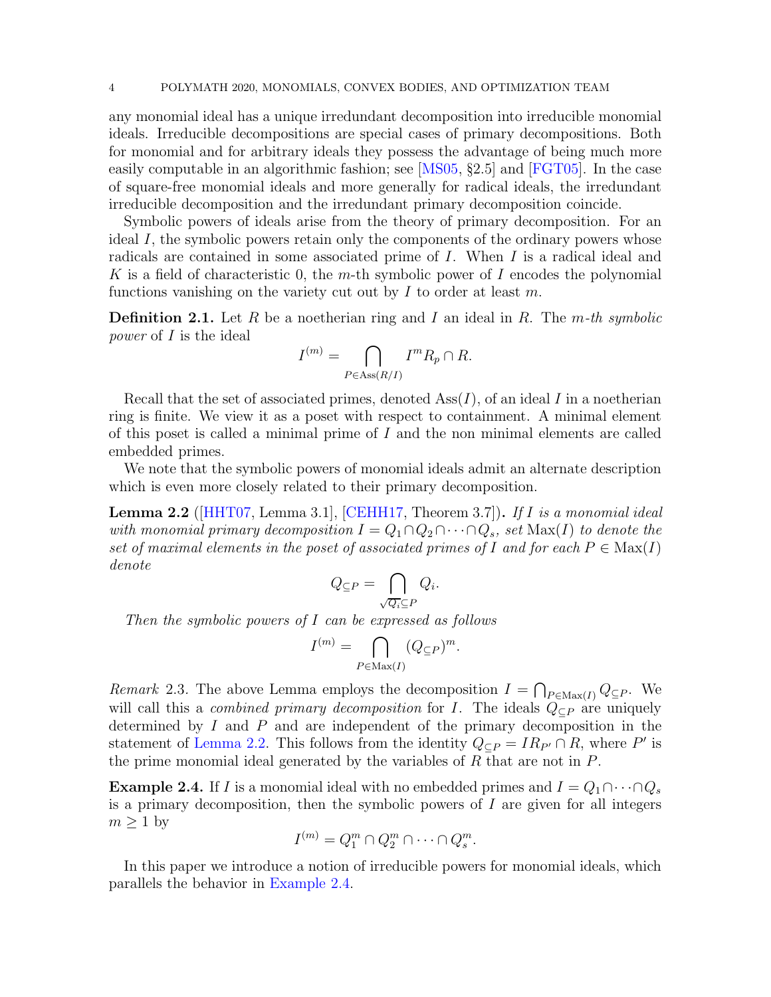any monomial ideal has a unique irredundant decomposition into irreducible monomial ideals. Irreducible decompositions are special cases of primary decompositions. Both for monomial and for arbitrary ideals they possess the advantage of being much more easily computable in an algorithmic fashion; see [\[MS05,](#page-20-11) §2.5] and [\[FGT05\]](#page-19-10). In the case of square-free monomial ideals and more generally for radical ideals, the irredundant irreducible decomposition and the irredundant primary decomposition coincide.

Symbolic powers of ideals arise from the theory of primary decomposition. For an ideal I, the symbolic powers retain only the components of the ordinary powers whose radicals are contained in some associated prime of I. When I is a radical ideal and K is a field of characteristic 0, the m-th symbolic power of I encodes the polynomial functions vanishing on the variety cut out by  $I$  to order at least  $m$ .

<span id="page-3-3"></span>**Definition 2.1.** Let R be a noetherian ring and I an ideal in R. The m-th symbolic power of I is the ideal

$$
I^{(m)} = \bigcap_{P \in \text{Ass}(R/I)} I^m R_p \cap R.
$$

Recall that the set of associated primes, denoted  $\text{Ass}(I)$ , of an ideal I in a noetherian ring is finite. We view it as a poset with respect to containment. A minimal element of this poset is called a minimal prime of  $I$  and the non minimal elements are called embedded primes.

<span id="page-3-0"></span>We note that the symbolic powers of monomial ideals admit an alternate description which is even more closely related to their primary decomposition.

**Lemma 2.2** ( $[HHT07, Lemma 3.1], [CEHH17, Theorem 3.7].$  $[HHT07, Lemma 3.1], [CEHH17, Theorem 3.7].$  $[HHT07, Lemma 3.1], [CEHH17, Theorem 3.7].$  $[HHT07, Lemma 3.1], [CEHH17, Theorem 3.7].$  If I is a monomial ideal with monomial primary decomposition  $I = Q_1 \cap Q_2 \cap \cdots \cap Q_s$ , set  $\text{Max}(I)$  to denote the set of maximal elements in the poset of associated primes of I and for each  $P \in \text{Max}(I)$ denote

$$
Q_{\subseteq P} = \bigcap_{\sqrt{Q_i} \subseteq P} Q_i.
$$

Then the symbolic powers of I can be expressed as follows

$$
I^{(m)} = \bigcap_{P \in \text{Max}(I)} (Q_{\subseteq P})^m.
$$

<span id="page-3-4"></span>Remark 2.3. The above Lemma employs the decomposition  $I = \bigcap_{P \in \text{Max}(I)} Q_{\subseteq P}$ . We will call this a *combined primary decomposition* for I. The ideals  $Q_{\subseteq P}$  are uniquely determined by  $I$  and  $P$  and are independent of the primary decomposition in the statement of [Lemma 2.2.](#page-3-0) This follows from the identity  $Q_{\subseteq P} = IR_{P'} \cap R$ , where P' is the prime monomial ideal generated by the variables of  $R$  that are not in  $P$ .

<span id="page-3-1"></span>**Example 2.4.** If I is a monomial ideal with no embedded primes and  $I = Q_1 \cap \cdots \cap Q_s$ is a primary decomposition, then the symbolic powers of  $I$  are given for all integers  $m \geq 1$  by

$$
I^{(m)} = Q_1^m \cap Q_2^m \cap \cdots \cap Q_s^m.
$$

<span id="page-3-2"></span>In this paper we introduce a notion of irreducible powers for monomial ideals, which parallels the behavior in [Example 2.4.](#page-3-1)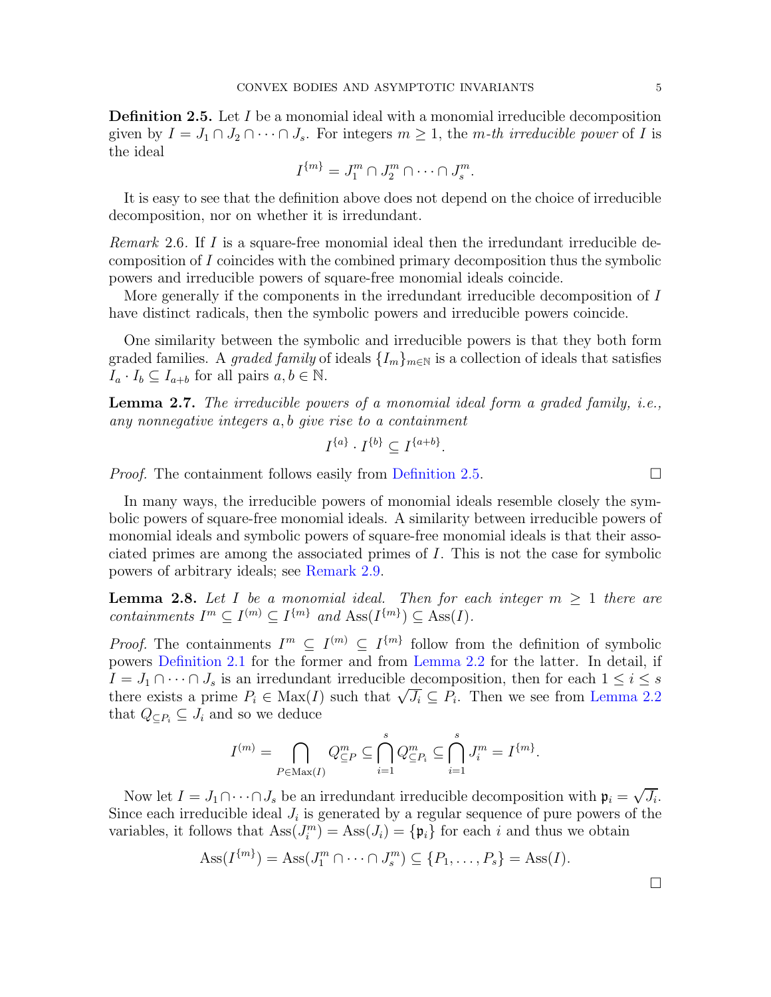**Definition 2.5.** Let I be a monomial ideal with a monomial irreducible decomposition given by  $I = J_1 \cap J_2 \cap \cdots \cap J_s$ . For integers  $m \geq 1$ , the m-th irreducible power of I is the ideal

$$
I^{\{m\}} = J_1^m \cap J_2^m \cap \cdots \cap J_s^m.
$$

<span id="page-4-2"></span>It is easy to see that the definition above does not depend on the choice of irreducible decomposition, nor on whether it is irredundant.

Remark 2.6. If I is a square-free monomial ideal then the irredundant irreducible decomposition of I coincides with the combined primary decomposition thus the symbolic powers and irreducible powers of square-free monomial ideals coincide.

More generally if the components in the irredundant irreducible decomposition of I have distinct radicals, then the symbolic powers and irreducible powers coincide.

One similarity between the symbolic and irreducible powers is that they both form graded families. A graded family of ideals  $\{I_m\}_{m\in\mathbb{N}}$  is a collection of ideals that satisfies  $I_a \cdot I_b \subseteq I_{a+b}$  for all pairs  $a, b \in \mathbb{N}$ .

Lemma 2.7. The irreducible powers of a monomial ideal form a graded family, i.e., any nonnegative integers a, b give rise to a containment

$$
I^{\{a\}} \cdot I^{\{b\}} \subseteq I^{\{a+b\}}.
$$

*Proof.* The containment follows easily from [Definition 2.5.](#page-3-2)  $\Box$ 

In many ways, the irreducible powers of monomial ideals resemble closely the symbolic powers of square-free monomial ideals. A similarity between irreducible powers of monomial ideals and symbolic powers of square-free monomial ideals is that their associated primes are among the associated primes of I. This is not the case for symbolic powers of arbitrary ideals; see [Remark 2.9.](#page-4-0)

<span id="page-4-1"></span>**Lemma 2.8.** Let I be a monomial ideal. Then for each integer  $m \geq 1$  there are containments  $I^m \subseteq I^{(m)} \subseteq I^{\{m\}}$  and  $\text{Ass}(I^{\{m\}}) \subseteq \text{Ass}(I)$ .

*Proof.* The containments  $I^m \subseteq I^{(m)} \subseteq I^{\{m\}}$  follow from the definition of symbolic powers [Definition 2.1](#page-3-3) for the former and from [Lemma 2.2](#page-3-0) for the latter. In detail, if  $I = J_1 \cap \cdots \cap J_s$  is an irredundant irreducible decomposition, then for each  $1 \leq i \leq s$ there exists a prime  $P_i \in \text{Max}(I)$  such that  $\sqrt{J_i} \subseteq P_i$ . Then we see from [Lemma 2.2](#page-3-0) that  $Q_{\subseteq P_i} \subseteq J_i$  and so we deduce

$$
I^{(m)} = \bigcap_{P \in \text{Max}(I)} Q^m_{\subseteq P} \subseteq \bigcap_{i=1}^s Q^m_{\subseteq P_i} \subseteq \bigcap_{i=1}^s J^m_i = I^{\{m\}}.
$$

Now let  $I = J_1 \cap \cdots \cap J_s$  be an irredundant irreducible decomposition with  $\mathfrak{p}_i = \sqrt{J_i}$ . Since each irreducible ideal  $J_i$  is generated by a regular sequence of pure powers of the variables, it follows that  $\text{Ass}(J_i^m) = \text{Ass}(J_i) = {\mathfrak{p}_i}$  for each i and thus we obtain

<span id="page-4-0"></span>
$$
Ass(I^{\{m\}}) = Ass(J_1^m \cap \cdots \cap J_s^m) \subseteq \{P_1, \ldots, P_s\} = Ass(I).
$$

 $\Box$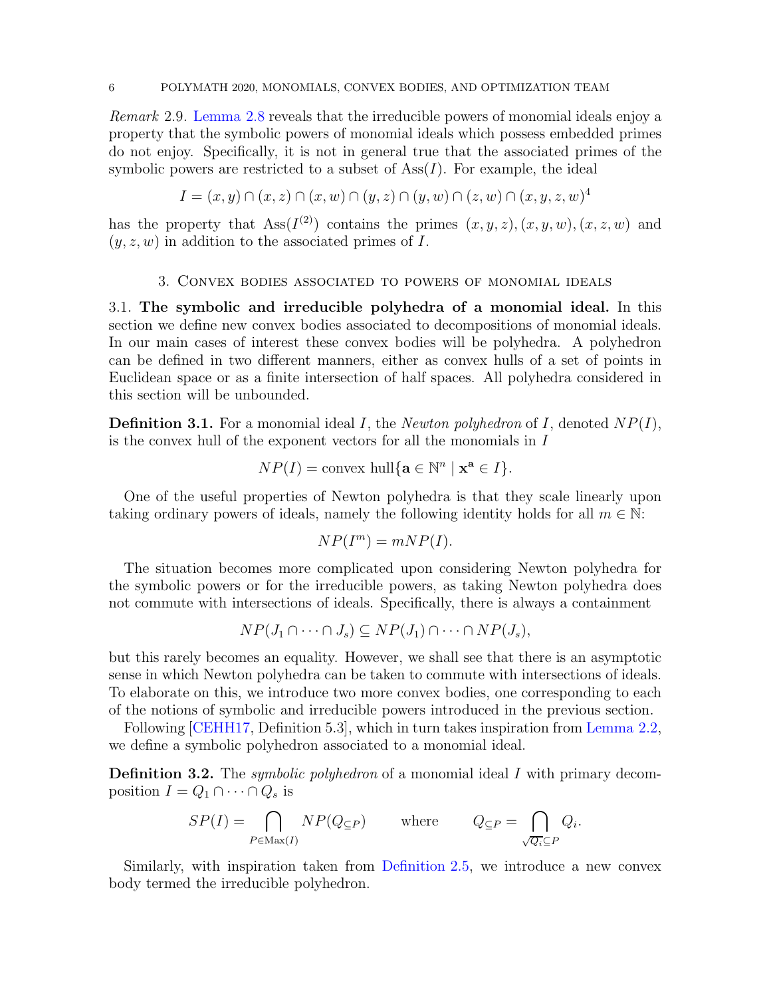Remark 2.9. [Lemma 2.8](#page-4-1) reveals that the irreducible powers of monomial ideals enjoy a property that the symbolic powers of monomial ideals which possess embedded primes do not enjoy. Specifically, it is not in general true that the associated primes of the symbolic powers are restricted to a subset of  $\text{Ass}(I)$ . For example, the ideal

$$
I = (x, y) \cap (x, z) \cap (x, w) \cap (y, z) \cap (y, w) \cap (z, w) \cap (x, y, z, w)^4
$$

has the property that  $\text{Ass}(I^{(2)})$  contains the primes  $(x, y, z), (x, y, w), (x, z, w)$  and  $(y, z, w)$  in addition to the associated primes of I.

#### 3. Convex bodies associated to powers of monomial ideals

3.1. The symbolic and irreducible polyhedra of a monomial ideal. In this section we define new convex bodies associated to decompositions of monomial ideals. In our main cases of interest these convex bodies will be polyhedra. A polyhedron can be defined in two different manners, either as convex hulls of a set of points in Euclidean space or as a finite intersection of half spaces. All polyhedra considered in this section will be unbounded.

**Definition 3.1.** For a monomial ideal I, the *Newton polyhedron* of I, denoted  $NP(I)$ , is the convex hull of the exponent vectors for all the monomials in I

$$
NP(I) = \text{convex hull}\{\mathbf{a} \in \mathbb{N}^n \mid \mathbf{x}^{\mathbf{a}} \in I\}.
$$

One of the useful properties of Newton polyhedra is that they scale linearly upon taking ordinary powers of ideals, namely the following identity holds for all  $m \in \mathbb{N}$ :

$$
NP(I^m) = mNP(I).
$$

The situation becomes more complicated upon considering Newton polyhedra for the symbolic powers or for the irreducible powers, as taking Newton polyhedra does not commute with intersections of ideals. Specifically, there is always a containment

$$
NP(J_1 \cap \cdots \cap J_s) \subseteq NP(J_1) \cap \cdots \cap NP(J_s),
$$

but this rarely becomes an equality. However, we shall see that there is an asymptotic sense in which Newton polyhedra can be taken to commute with intersections of ideals. To elaborate on this, we introduce two more convex bodies, one corresponding to each of the notions of symbolic and irreducible powers introduced in the previous section.

<span id="page-5-1"></span>Following [\[CEHH17,](#page-19-2) Definition 5.3], which in turn takes inspiration from [Lemma 2.2,](#page-3-0) we define a symbolic polyhedron associated to a monomial ideal.

**Definition 3.2.** The *symbolic polyhedron* of a monomial ideal I with primary decomposition  $I = Q_1 \cap \cdots \cap Q_s$  is

$$
SP(I) = \bigcap_{P \in \text{Max}(I)} NP(Q_{\subseteq P}) \quad \text{where} \quad Q_{\subseteq P} = \bigcap_{\sqrt{Q_i} \subseteq P} Q_i.
$$

<span id="page-5-0"></span>Similarly, with inspiration taken from [Definition 2.5,](#page-3-2) we introduce a new convex body termed the irreducible polyhedron.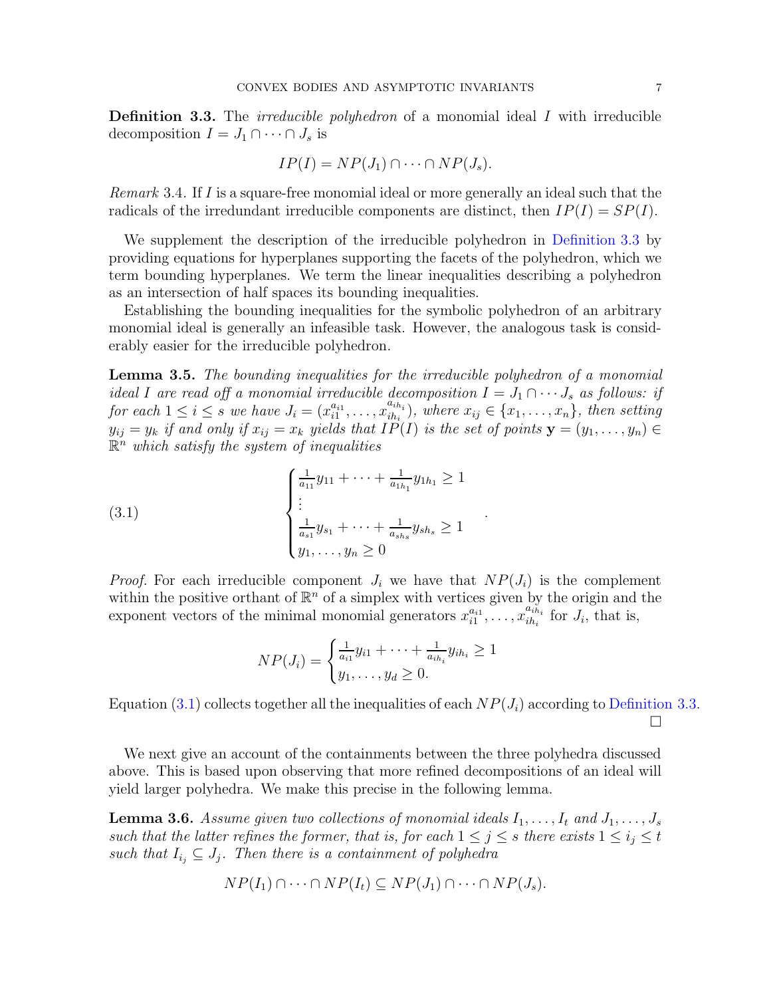**Definition 3.3.** The *irreducible polyhedron* of a monomial ideal I with irreducible decomposition  $I = J_1 \cap \cdots \cap J_s$  is

$$
IP(I) = NP(J_1) \cap \cdots \cap NP(J_s).
$$

Remark 3.4. If I is a square-free monomial ideal or more generally an ideal such that the radicals of the irredundant irreducible components are distinct, then  $IP(I) = SP(I)$ .

We supplement the description of the irreducible polyhedron in [Definition 3.3](#page-5-0) by providing equations for hyperplanes supporting the facets of the polyhedron, which we term bounding hyperplanes. We term the linear inequalities describing a polyhedron as an intersection of half spaces its bounding inequalities.

Establishing the bounding inequalities for the symbolic polyhedron of an arbitrary monomial ideal is generally an infeasible task. However, the analogous task is considerably easier for the irreducible polyhedron.

<span id="page-6-2"></span>Lemma 3.5. The bounding inequalities for the irreducible polyhedron of a monomial ideal I are read off a monomial irreducible decomposition  $I = J_1 \cap \cdots J_s$  as follows: if for each  $1 \leq i \leq s$  we have  $J_i = (x_{i1}^{a_{i1}}, \ldots, x_{ih_i}^{a_{ih_i}})$  $\{x_{ih_i}\}_{i,h_i}$ , where  $x_{ij} \in \{x_1, \ldots, x_n\},\$  then setting  $y_{ij} = y_k$  if and only if  $x_{ij} = x_k$  yields that  $IP(I)$  is the set of points  $\mathbf{y} = (y_1, \ldots, y_n) \in$  $\mathbb{R}^n$  which satisfy the system of inequalities

(3.1)  $\sqrt{ }$  $\Big\}$  $\overline{\mathcal{L}}$ 1  $\frac{1}{a_{11}}y_{11} + \cdots + \frac{1}{a_{1k}}$  $\frac{1}{a_{1h_1}}y_{1h_1} \geq 1$ . . . 1  $\frac{1}{a_{s1}}y_{s_1} + \cdots + \frac{1}{a_{sk}}$  $\frac{1}{a_{sh_s}}y_{sh_s}\geq 1$  $y_1, \ldots, y_n \geq 0$ 

*Proof.* For each irreducible component  $J_i$  we have that  $NP(J_i)$  is the complement within the positive orthant of  $\mathbb{R}^n$  of a simplex with vertices given by the origin and the exponent vectors of the minimal monomial generators  $x_{i1}^{a_{i1}}, \ldots, x_{ih_i}^{a_{ih_i}}$  $\sum_{i}^{a_{ih_i}}$  for  $J_i$ , that is,

.

<span id="page-6-0"></span>
$$
NP(J_i) = \begin{cases} \frac{1}{a_{i1}}y_{i1} + \dots + \frac{1}{a_{ih_i}}y_{ih_i} \ge 1\\ y_1, \dots, y_d \ge 0. \end{cases}
$$

Equation [\(3.1\)](#page-6-0) collects together all the inequalities of each  $NP(J_i)$  according to [Definition 3.3.](#page-5-0)  $\Box$ 

We next give an account of the containments between the three polyhedra discussed above. This is based upon observing that more refined decompositions of an ideal will yield larger polyhedra. We make this precise in the following lemma.

<span id="page-6-1"></span>**Lemma 3.6.** Assume given two collections of monomial ideals  $I_1, \ldots, I_t$  and  $J_1, \ldots, J_s$ such that the latter refines the former, that is, for each  $1 \leq j \leq s$  there exists  $1 \leq i_j \leq t$ such that  $I_{i_j} \subseteq J_j$ . Then there is a containment of polyhedra

$$
NP(I_1) \cap \cdots \cap NP(I_t) \subseteq NP(J_1) \cap \cdots \cap NP(J_s).
$$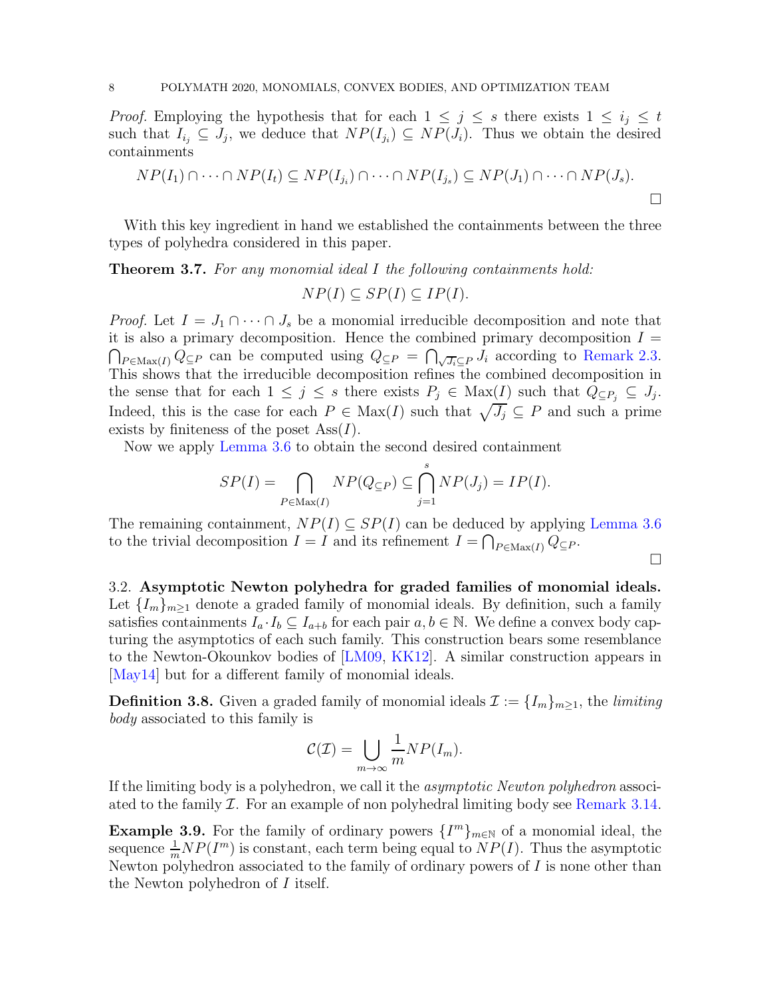*Proof.* Employing the hypothesis that for each  $1 \leq j \leq s$  there exists  $1 \leq i_j \leq t$ such that  $I_{i_j} \subseteq J_j$ , we deduce that  $NP(I_{i_j}) \subseteq NP(J_i)$ . Thus we obtain the desired containments

$$
NP(I_1) \cap \cdots \cap NP(I_t) \subseteq NP(I_{j_i}) \cap \cdots \cap NP(I_{j_s}) \subseteq NP(J_1) \cap \cdots \cap NP(J_s).
$$

<span id="page-7-0"></span>With this key ingredient in hand we established the containments between the three types of polyhedra considered in this paper.

Theorem 3.7. For any monomial ideal I the following containments hold:  $NP(I) \subseteq SP(I) \subseteq IP(I)$ .

*Proof.* Let  $I = J_1 \cap \cdots \cap J_s$  be a monomial irreducible decomposition and note that it is also a primary decomposition. Hence the combined primary decomposition  $I =$  $P \in \text{Max}(I)$   $Q \subseteq P$  can be computed using  $Q \subseteq P = \bigcap_{\sqrt{J_i} \subseteq P} J_i$  according to [Remark 2.3.](#page-3-4) This shows that the irreducible decomposition refines the combined decomposition in the sense that for each  $1 \leq j \leq s$  there exists  $P_j \in \text{Max}(\underline{I})$  such that  $Q_{\subseteq P_j} \subseteq J_j$ . Indeed, this is the case for each  $P \in \text{Max}(I)$  such that  $\sqrt{J_j} \subseteq P$  and such a prime exists by finiteness of the poset  $\text{Ass}(I)$ .

Now we apply [Lemma 3.6](#page-6-1) to obtain the second desired containment

$$
SP(I) = \bigcap_{P \in \text{Max}(I)} NP(Q_{\subseteq P}) \subseteq \bigcap_{j=1}^{s} NP(J_j) = IP(I).
$$

The remaining containment,  $NP(I) \subseteq SP(I)$  can be deduced by applying [Lemma 3.6](#page-6-1) to the trivial decomposition  $I = I$  and its refinement  $I = \bigcap_{P \in \text{Max}(I)} Q_{\subseteq P}$ .

 $\Box$ 

3.2. Asymptotic Newton polyhedra for graded families of monomial ideals. Let  $\{I_m\}_{m\geq 1}$  denote a graded family of monomial ideals. By definition, such a family satisfies containments  $I_a \cdot I_b \subseteq I_{a+b}$  for each pair  $a, b \in \mathbb{N}$ . We define a convex body capturing the asymptotics of each such family. This construction bears some resemblance to the Newton-Okounkov bodies of [\[LM09,](#page-20-3) [KK12\]](#page-20-4). A similar construction appears in [\[May14\]](#page-20-5) but for a different family of monomial ideals.

<span id="page-7-1"></span>**Definition 3.8.** Given a graded family of monomial ideals  $\mathcal{I} := \{I_m\}_{m\geq 1}$ , the *limiting* body associated to this family is

$$
\mathcal{C}(\mathcal{I}) = \bigcup_{m \to \infty} \frac{1}{m} NP(I_m).
$$

If the limiting body is a polyhedron, we call it the asymptotic Newton polyhedron associated to the family  $\mathcal I$ . For an example of non polyhedral limiting body see [Remark 3.14.](#page-9-0)

**Example 3.9.** For the family of ordinary powers  $\{I^m\}_{m\in\mathbb{N}}$  of a monomial ideal, the sequence  $\frac{1}{m}NP(I^m)$  is constant, each term being equal to  $NP(I)$ . Thus the asymptotic Newton polyhedron associated to the family of ordinary powers of  $I$  is none other than the Newton polyhedron of I itself.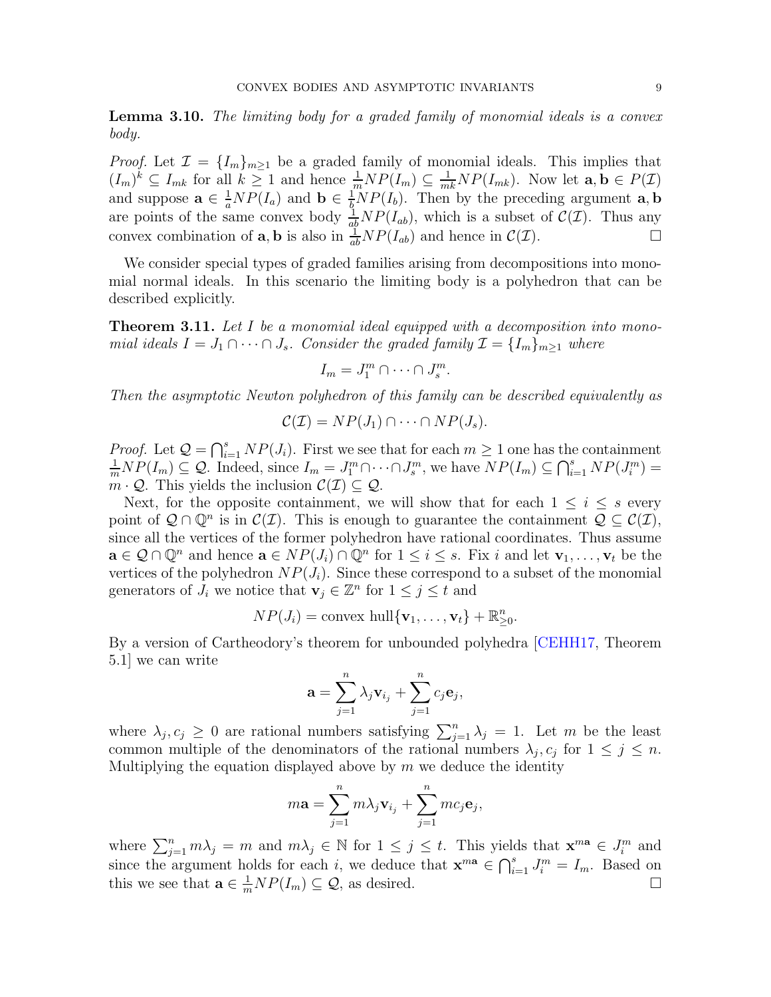Lemma 3.10. The limiting body for a graded family of monomial ideals is a convex body.

*Proof.* Let  $\mathcal{I} = \{I_m\}_{m\geq 1}$  be a graded family of monomial ideals. This implies that  $(I_m)^k \subseteq I_{mk}$  for all  $k \geq 1$  and hence  $\frac{1}{m}NP(I_m) \subseteq \frac{1}{mk}NP(I_{mk})$ . Now let  $\mathbf{a}, \mathbf{b} \in P(\mathcal{I})$ and suppose  $\mathbf{a} \in \frac{1}{a}NP(I_a)$  and  $\mathbf{b} \in \frac{1}{b}NP(I_b)$ . Then by the preceding argument  $\mathbf{a}, \mathbf{b}$ are points of the same convex body  $\frac{1}{ab}NP(I_{ab})$ , which is a subset of  $\mathcal{C}(\mathcal{I})$ . Thus any convex combination of **a**, **b** is also in  $\frac{1}{ab}NP(I_{ab})$  and hence in  $C(\mathcal{I})$ .

We consider special types of graded families arising from decompositions into monomial normal ideals. In this scenario the limiting body is a polyhedron that can be described explicitly.

<span id="page-8-0"></span>**Theorem 3.11.** Let I be a monomial ideal equipped with a decomposition into monomial ideals  $I = J_1 \cap \cdots \cap J_s$ . Consider the graded family  $\mathcal{I} = \{I_m\}_{m \geq 1}$  where

$$
I_m = J_1^m \cap \dots \cap J_s^m
$$

.

Then the asymptotic Newton polyhedron of this family can be described equivalently as

$$
C(\mathcal{I})=NP(J_1)\cap\cdots\cap NP(J_s).
$$

*Proof.* Let  $\mathcal{Q} = \bigcap_{i=1}^s NP(J_i)$ . First we see that for each  $m \geq 1$  one has the containment  $\frac{1}{m}NP(I_m) \subseteq Q$ . Indeed, since  $I_m = J_1^m \cap \cdots \cap J_s^m$ , we have  $NP(I_m) \subseteq \bigcap_{i=1}^s NP(J_i^m) =$  $m \cdot \mathcal{Q}$ . This yields the inclusion  $\mathcal{C}(\mathcal{I}) \subseteq \mathcal{Q}$ .

Next, for the opposite containment, we will show that for each  $1 \leq i \leq s$  every point of  $Q \cap \mathbb{Q}^n$  is in  $\mathcal{C}(\mathcal{I})$ . This is enough to guarantee the containment  $Q \subseteq \mathcal{C}(\mathcal{I})$ , since all the vertices of the former polyhedron have rational coordinates. Thus assume  $\mathbf{a} \in \mathcal{Q} \cap \mathbb{Q}^n$  and hence  $\mathbf{a} \in NP(J_i) \cap \mathbb{Q}^n$  for  $1 \leq i \leq s$ . Fix i and let  $\mathbf{v}_1, \ldots, \mathbf{v}_t$  be the vertices of the polyhedron  $NP(J_i)$ . Since these correspond to a subset of the monomial generators of  $J_i$  we notice that  $\mathbf{v}_j \in \mathbb{Z}^n$  for  $1 \leq j \leq t$  and

$$
NP(J_i) = \text{convex hull}\{\mathbf{v}_1, \dots, \mathbf{v}_t\} + \mathbb{R}_{\geq 0}^n.
$$

By a version of Cartheodory's theorem for unbounded polyhedra [\[CEHH17,](#page-19-2) Theorem 5.1] we can write

$$
\mathbf{a} = \sum_{j=1}^n \lambda_j \mathbf{v}_{i_j} + \sum_{j=1}^n c_j \mathbf{e}_j,
$$

where  $\lambda_j, c_j \geq 0$  are rational numbers satisfying  $\sum_{j=1}^n \lambda_j = 1$ . Let m be the least common multiple of the denominators of the rational numbers  $\lambda_j$ ,  $c_j$  for  $1 \leq j \leq n$ . Multiplying the equation displayed above by  $m$  we deduce the identity

$$
m\mathbf{a} = \sum_{j=1}^{n} m\lambda_j \mathbf{v}_{i_j} + \sum_{j=1}^{n} mc_j \mathbf{e}_j,
$$

where  $\sum_{j=1}^n m\lambda_j = m$  and  $m\lambda_j \in \mathbb{N}$  for  $1 \leq j \leq t$ . This yields that  $\mathbf{x}^{m\mathbf{a}} \in J_i^m$  and since the argument holds for each i, we deduce that  $\mathbf{x}^{m\mathbf{a}} \in \bigcap_{i=1}^{s} J_i^m = I_m$ . Based on this we see that  $\mathbf{a} \in \frac{1}{m} NP(I_m) \subseteq \mathcal{Q}$ , as desired.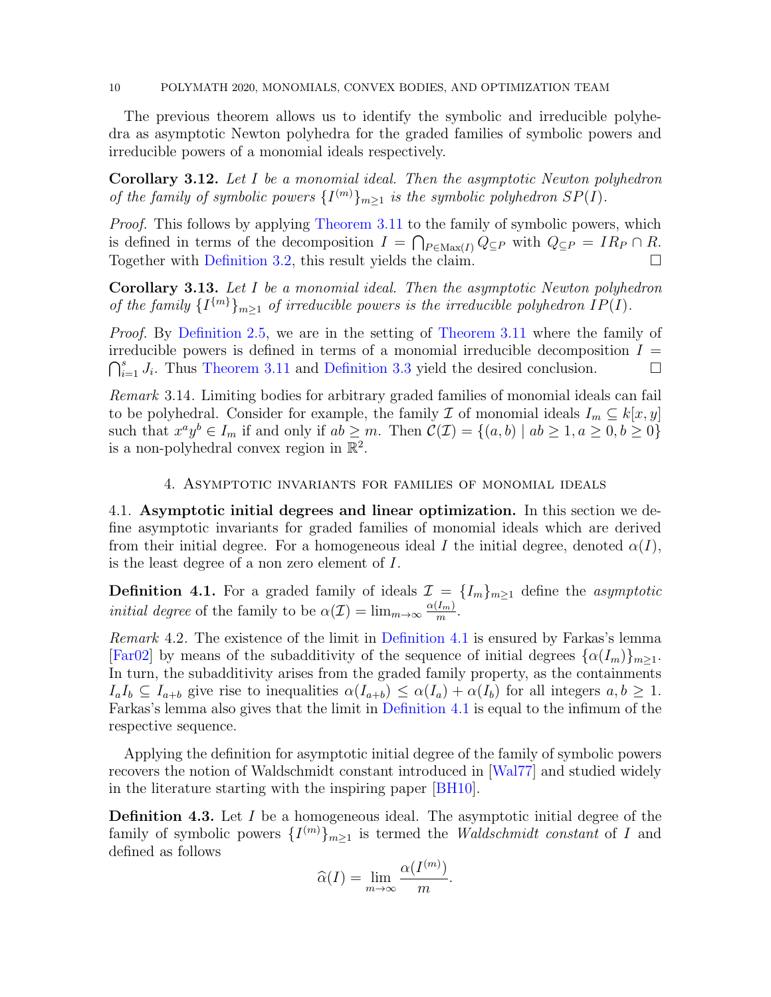#### 10 POLYMATH 2020, MONOMIALS, CONVEX BODIES, AND OPTIMIZATION TEAM

The previous theorem allows us to identify the symbolic and irreducible polyhedra as asymptotic Newton polyhedra for the graded families of symbolic powers and irreducible powers of a monomial ideals respectively.

Corollary 3.12. Let I be a monomial ideal. Then the asymptotic Newton polyhedron of the family of symbolic powers  $\{I^{(m)}\}_{m\geq 1}$  is the symbolic polyhedron  $SP(I)$ .

*Proof.* This follows by applying [Theorem 3.11](#page-8-0) to the family of symbolic powers, which is defined in terms of the decomposition  $I = \bigcap_{P \in \text{Max}(I)} Q_{\subseteq P}$  with  $Q_{\subseteq P} = IR_P \cap R$ . Together with [Definition 3.2,](#page-5-1) this result yields the claim.

Corollary 3.13. Let I be a monomial ideal. Then the asymptotic Newton polyhedron of the family  $\{I^{\{m\}}\}_{m\geq 1}$  of irreducible powers is the irreducible polyhedron  $IP(I)$ .

Proof. By [Definition 2.5,](#page-3-2) we are in the setting of [Theorem 3.11](#page-8-0) where the family of irreducible powers is defined in terms of a monomial irreducible decomposition  $I =$  $\bigcap_{i=1}^s J_i$ . Thus [Theorem 3.11](#page-8-0) and [Definition 3.3](#page-5-0) yield the desired conclusion.

<span id="page-9-0"></span>Remark 3.14. Limiting bodies for arbitrary graded families of monomial ideals can fail to be polyhedral. Consider for example, the family  $\mathcal I$  of monomial ideals  $I_m \subseteq k[x, y]$ such that  $x^a y^b \in I_m$  if and only if  $ab \ge m$ . Then  $\mathcal{C}(\mathcal{I}) = \{(a, b) \mid ab \ge 1, a \ge 0, b \ge 0\}$ is a non-polyhedral convex region in  $\mathbb{R}^2$ .

# 4. Asymptotic invariants for families of monomial ideals

4.1. Asymptotic initial degrees and linear optimization. In this section we define asymptotic invariants for graded families of monomial ideals which are derived from their initial degree. For a homogeneous ideal I the initial degree, denoted  $\alpha(I)$ , is the least degree of a non zero element of I.

<span id="page-9-1"></span>**Definition 4.1.** For a graded family of ideals  $\mathcal{I} = \{I_m\}_{m\geq1}$  define the asymptotic *initial degree* of the family to be  $\alpha(\mathcal{I}) = \lim_{m \to \infty} \frac{\alpha(I_m)}{m}$  $\frac{Imh}{m}$ .

<span id="page-9-2"></span>Remark 4.2. The existence of the limit in [Definition 4.1](#page-9-1) is ensured by Farkas's lemma [\[Far02\]](#page-19-11) by means of the subadditivity of the sequence of initial degrees  $\{\alpha(I_m)\}_{m>1}$ . In turn, the subadditivity arises from the graded family property, as the containments  $I_aI_b \subseteq I_{a+b}$  give rise to inequalities  $\alpha(I_{a+b}) \leq \alpha(I_a) + \alpha(I_b)$  for all integers  $a, b \geq 1$ . Farkas's lemma also gives that the limit in [Definition 4.1](#page-9-1) is equal to the infimum of the respective sequence.

Applying the definition for asymptotic initial degree of the family of symbolic powers recovers the notion of Waldschmidt constant introduced in [\[Wal77\]](#page-20-8) and studied widely in the literature starting with the inspiring paper [\[BH10\]](#page-19-4).

**Definition 4.3.** Let I be a homogeneous ideal. The asymptotic initial degree of the family of symbolic powers  $\{I^{(m)}\}_{m\geq 1}$  is termed the *Waldschmidt constant* of I and defined as follows

$$
\widehat{\alpha}(I) = \lim_{m \to \infty} \frac{\alpha(I^{(m)})}{m}.
$$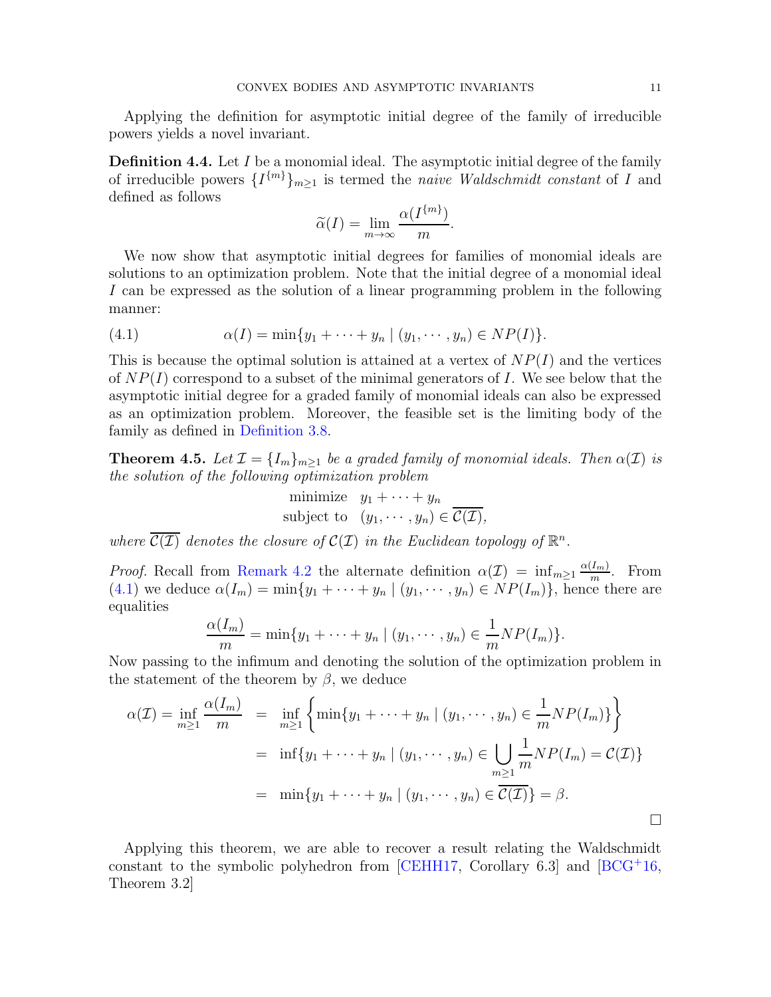Applying the definition for asymptotic initial degree of the family of irreducible powers yields a novel invariant.

**Definition 4.4.** Let  $I$  be a monomial ideal. The asymptotic initial degree of the family of irreducible powers  $\{I^{\{m\}}\}_{m\geq 1}$  is termed the *naive Waldschmidt constant* of I and defined as follows

$$
\widetilde{\alpha}(I) = \lim_{m \to \infty} \frac{\alpha(I^{\{m\}})}{m}.
$$

We now show that asymptotic initial degrees for families of monomial ideals are solutions to an optimization problem. Note that the initial degree of a monomial ideal I can be expressed as the solution of a linear programming problem in the following manner:

<span id="page-10-0"></span>(4.1) 
$$
\alpha(I) = \min\{y_1 + \cdots + y_n \mid (y_1, \cdots, y_n) \in NP(I)\}.
$$

This is because the optimal solution is attained at a vertex of  $NP(I)$  and the vertices of  $NP(I)$  correspond to a subset of the minimal generators of I. We see below that the asymptotic initial degree for a graded family of monomial ideals can also be expressed as an optimization problem. Moreover, the feasible set is the limiting body of the family as defined in [Definition 3.8.](#page-7-1)

**Theorem 4.5.** Let  $\mathcal{I} = \{I_m\}_{m>1}$  be a graded family of monomial ideals. Then  $\alpha(\mathcal{I})$  is the solution of the following optimization problem

minimize 
$$
y_1 + \cdots + y_n
$$
  
subject to  $(y_1, \cdots, y_n) \in \overline{C(\mathcal{I})}$ ,

where  $\overline{C(\mathcal{I})}$  denotes the closure of  $C(\mathcal{I})$  in the Euclidean topology of  $\mathbb{R}^n$ .

*Proof.* Recall from [Remark 4.2](#page-9-2) the alternate definition  $\alpha(\mathcal{I}) = \inf_{m \geq 1} \frac{\alpha(I_m)}{m}$  $\frac{I_{m}}{m}$ . From  $(4.1)$  we deduce  $\alpha(I_m) = \min\{y_1 + \cdots + y_n \mid (y_1, \cdots, y_n) \in NP(I_m)\}\)$ , hence there are equalities

$$
\frac{\alpha(I_m)}{m} = \min\{y_1 + \dots + y_n \mid (y_1, \dots, y_n) \in \frac{1}{m} NP(I_m)\}.
$$

Now passing to the infimum and denoting the solution of the optimization problem in the statement of the theorem by  $\beta$ , we deduce

$$
\alpha(\mathcal{I}) = \inf_{m \ge 1} \frac{\alpha(I_m)}{m} = \inf_{m \ge 1} \left\{ \min\{y_1 + \dots + y_n \mid (y_1, \dots, y_n) \in \frac{1}{m} NP(I_m) \} \right\}
$$

$$
= \inf \{y_1 + \dots + y_n \mid (y_1, \dots, y_n) \in \bigcup_{m \ge 1} \frac{1}{m} NP(I_m) = \mathcal{C}(\mathcal{I}) \}
$$

$$
= \min \{y_1 + \dots + y_n \mid (y_1, \dots, y_n) \in \overline{\mathcal{C}(\mathcal{I})} \} = \beta.
$$

<span id="page-10-1"></span>Applying this theorem, we are able to recover a result relating the Waldschmidt constant to the symbolic polyhedron from [\[CEHH17,](#page-19-2) Corollary 6.3] and [\[BCG](#page-19-3)<sup>+</sup>16, Theorem 3.2]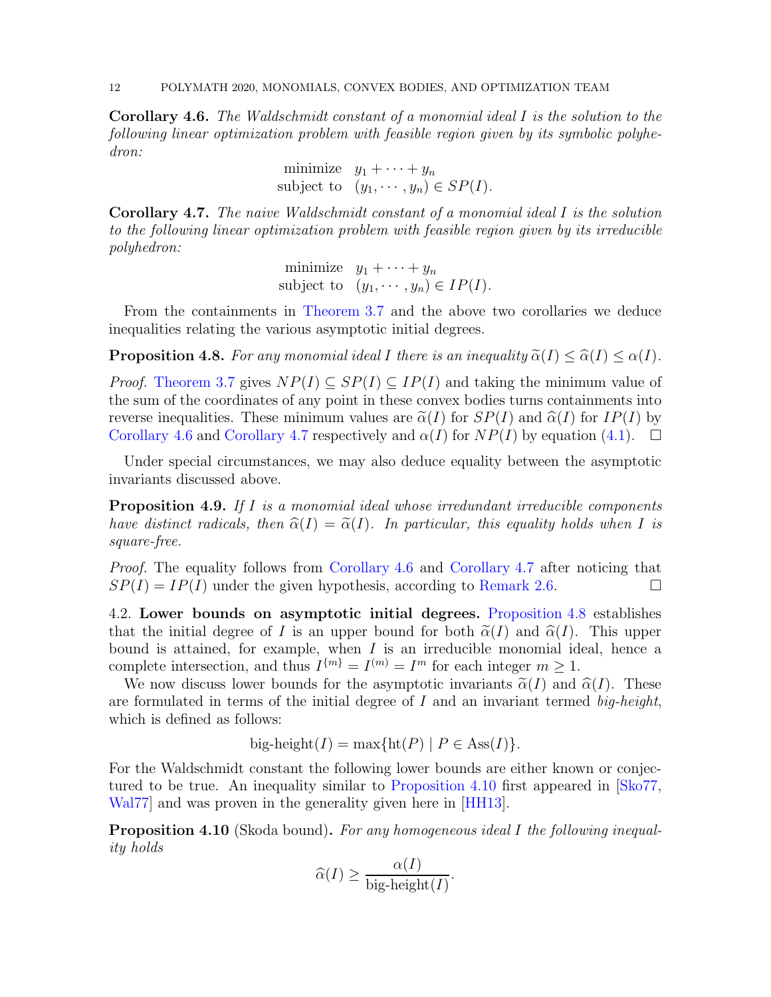Corollary 4.6. The Waldschmidt constant of a monomial ideal I is the solution to the following linear optimization problem with feasible region given by its symbolic polyhedron:

minimize 
$$
y_1 + \cdots + y_n
$$
  
subject to  $(y_1, \cdots, y_n) \in SP(I)$ .

<span id="page-11-0"></span>Corollary 4.7. The naive Waldschmidt constant of a monomial ideal I is the solution to the following linear optimization problem with feasible region given by its irreducible polyhedron:

minimize 
$$
y_1 + \cdots + y_n
$$
  
subject to  $(y_1, \cdots, y_n) \in IP(I)$ .

<span id="page-11-1"></span>From the containments in [Theorem 3.7](#page-7-0) and the above two corollaries we deduce inequalities relating the various asymptotic initial degrees.

**Proposition 4.8.** For any monomial ideal I there is an inequality  $\tilde{\alpha}(I) \leq \hat{\alpha}(I) \leq \alpha(I)$ .

*Proof.* [Theorem 3.7](#page-7-0) gives  $NP(I) \subseteq SP(I) \subseteq IP(I)$  and taking the minimum value of the sum of the coordinates of any point in these convex bodies turns containments into reverse inequalities. These minimum values are  $\tilde{\alpha}(I)$  for  $SP(I)$  and  $\hat{\alpha}(I)$  for  $IP(I)$  by [Corollary 4.6](#page-10-1) and [Corollary 4.7](#page-11-0) respectively and  $\alpha(I)$  for  $NP(I)$  by equation [\(4.1\)](#page-10-0).  $\Box$ 

Under special circumstances, we may also deduce equality between the asymptotic invariants discussed above.

**Proposition 4.9.** If I is a monomial ideal whose irredundant irreducible components have distinct radicals, then  $\widehat{\alpha}(I) = \widetilde{\alpha}(I)$ . In particular, this equality holds when I is square-free.

Proof. The equality follows from [Corollary 4.6](#page-10-1) and [Corollary 4.7](#page-11-0) after noticing that  $SP(I) = IP(I)$  under the given hypothesis, according to [Remark 2.6.](#page-4-2)

4.2. Lower bounds on asymptotic initial degrees. [Proposition 4.8](#page-11-1) establishes that the initial degree of I is an upper bound for both  $\tilde{\alpha}(I)$  and  $\hat{\alpha}(I)$ . This upper bound is attained, for example, when  $I$  is an irreducible monomial ideal, hence a complete intersection, and thus  $I^{m} = I^{(m)} = I^{m}$  for each integer  $m \geq 1$ .

We now discuss lower bounds for the asymptotic invariants  $\tilde{\alpha}(I)$  and  $\hat{\alpha}(I)$ . These are formulated in terms of the initial degree of  $I$  and an invariant termed big-height, which is defined as follows:

big-height( $I$ ) = max{ht( $P$ ) |  $P \in \text{Ass}(I)$ }.

For the Waldschmidt constant the following lower bounds are either known or conjectured to be true. An inequality similar to [Proposition 4.10](#page-11-2) first appeared in [\[Sko77,](#page-20-7) [Wal77\]](#page-20-8) and was proven in the generality given here in [\[HH13\]](#page-20-9).

<span id="page-11-2"></span>Proposition 4.10 (Skoda bound). For any homogeneous ideal I the following inequality holds

$$
\widehat{\alpha}(I) \ge \frac{\alpha(I)}{\text{big-height}(I)}.
$$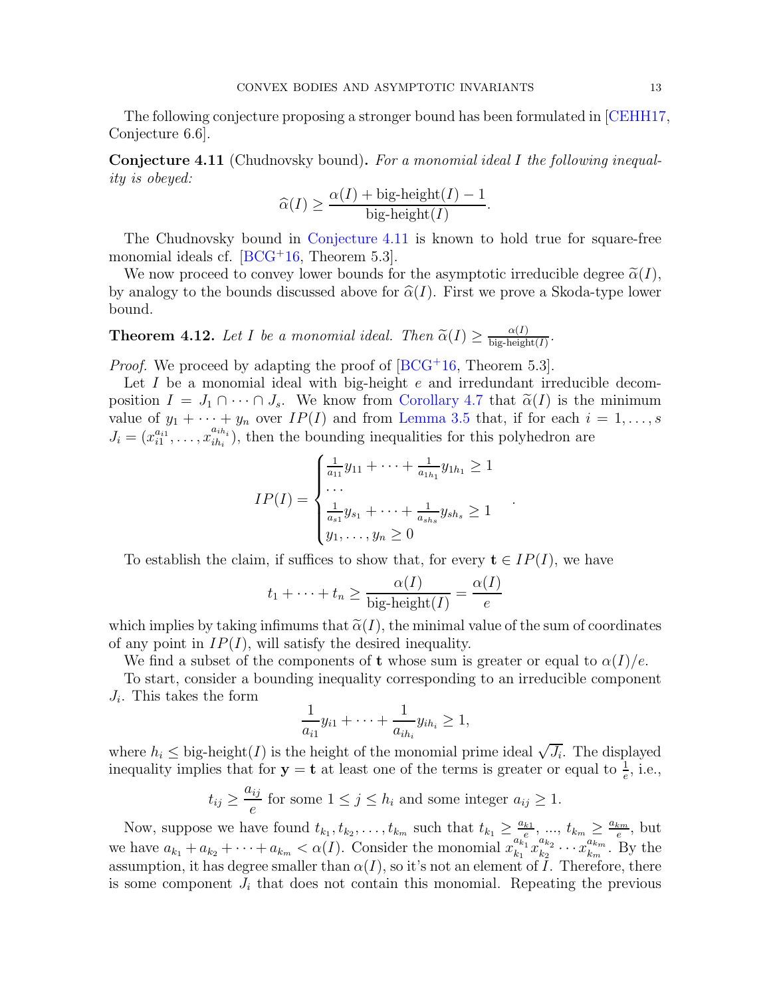<span id="page-12-0"></span>The following conjecture proposing a stronger bound has been formulated in [\[CEHH17,](#page-19-2) Conjecture 6.6].

Conjecture 4.11 (Chudnovsky bound). For a monomial ideal I the following inequality is obeyed:

$$
\widehat{\alpha}(I) \ge \frac{\alpha(I) + \text{big-height}(I) - 1}{\text{big-height}(I)}.
$$

The Chudnovsky bound in [Conjecture 4.11](#page-12-0) is known to hold true for square-free monomial ideals cf. [\[BCG](#page-19-3)<sup>+</sup>16, Theorem 5.3].

We now proceed to convey lower bounds for the asymptotic irreducible degree  $\tilde{\alpha}(I)$ , by analogy to the bounds discussed above for  $\hat{\alpha}(I)$ . First we prove a Skoda-type lower bound.

**Theorem 4.12.** Let I be a monomial ideal. Then  $\tilde{\alpha}(I) \ge \frac{\alpha(I)}{\text{big-height}}$  $\frac{\alpha(I)}{\text{big-height}(I)}$ .

*Proof.* We proceed by adapting the proof of  $[BCG^+16, Theorem 5.3]$ .

Let I be a monomial ideal with big-height  $e$  and irredundant irreducible decomposition  $I = J_1 \cap \cdots \cap J_s$ . We know from [Corollary 4.7](#page-11-0) that  $\tilde{\alpha}(I)$  is the minimum value of  $y_1 + \cdots + y_n$  over  $IP(I)$  and from [Lemma 3.5](#page-6-2) that, if for each  $i = 1, \ldots, s$  $J_i = (x_{i1}^{a_{i1}}, \ldots, x_{ih_i}^{a_{ih_i}})$  $\sum_{i}^{a_{i}n_{i}}$ , then the bounding inequalities for this polyhedron are

$$
IP(I) = \begin{cases} \frac{1}{a_{11}}y_{11} + \dots + \frac{1}{a_{1h_1}}y_{1h_1} \ge 1\\ \dots \\ \frac{1}{a_{s1}}y_{s_1} + \dots + \frac{1}{a_{sh_s}}y_{sh_s} \ge 1\\ y_1, \dots, y_n \ge 0 \end{cases}
$$

.

To establish the claim, if suffices to show that, for every  $\mathbf{t} \in IP(I)$ , we have

$$
t_1 + \dots + t_n \ge \frac{\alpha(I)}{\text{big-height}(I)} = \frac{\alpha(I)}{e}
$$

which implies by taking infimums that  $\tilde{\alpha}(I)$ , the minimal value of the sum of coordinates of any point in  $IP(I)$ , will satisfy the desired inequality.

We find a subset of the components of t whose sum is greater or equal to  $\alpha(I)/e$ .

To start, consider a bounding inequality corresponding to an irreducible component  $J_i$ . This takes the form

$$
\frac{1}{a_{i1}}y_{i1} + \dots + \frac{1}{a_{ih_i}}y_{ih_i} \ge 1,
$$

where  $h_i \leq$  big-height $(I)$  is the height of the monomial prime ideal  $\sqrt{J_i}$ . The displayed inequality implies that for  $y = t$  at least one of the terms is greater or equal to  $\frac{1}{e}$ , i.e.,

$$
t_{ij} \ge \frac{a_{ij}}{e}
$$
 for some  $1 \le j \le h_i$  and some integer  $a_{ij} \ge 1$ .

Now, suppose we have found  $t_{k_1}, t_{k_2}, \ldots, t_{k_m}$  such that  $t_{k_1} \geq \frac{a_{k_1}}{e^{e}}$  $\frac{k_1}{e}, \ldots, t_{k_m} \geq \frac{a_{km}}{e}$  $\frac{km}{e}$ , but we have  $a_{k_1} + a_{k_2} + \cdots + a_{k_m} < \alpha(I)$ . Consider the monomial  $x_{k_1}^{a_{k_1}^{a_k}}$  $\frac{a_{k_1}}{k_1}x_{k_2}^{a_{k_2}}$  $a_{k_2} \ldots a_{k_m}^{a_{k_m}}$  $\frac{a_{km}}{k_m}$ . By the assumption, it has degree smaller than  $\alpha(I)$ , so it's not an element of I. Therefore, there is some component  $J_i$  that does not contain this monomial. Repeating the previous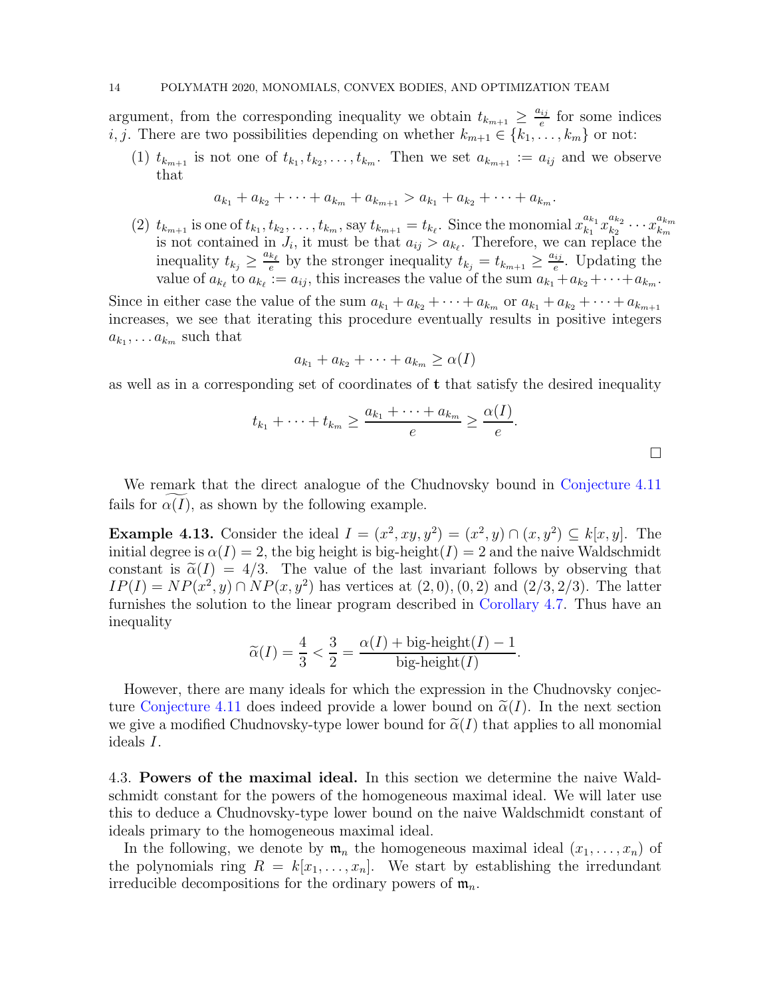argument, from the corresponding inequality we obtain  $t_{k_{m+1}} \geq \frac{a_{ij}}{e}$  $\frac{e^{i j}}{e}$  for some indices *i*, *j*. There are two possibilities depending on whether  $k_{m+1} \in \{k_1, \ldots, k_m\}$  or not:

(1)  $t_{k_{m+1}}$  is not one of  $t_{k_1}, t_{k_2}, \ldots, t_{k_m}$ . Then we set  $a_{k_{m+1}} := a_{ij}$  and we observe that

$$
a_{k_1} + a_{k_2} + \cdots + a_{k_m} + a_{k_{m+1}} > a_{k_1} + a_{k_2} + \cdots + a_{k_m}.
$$

(2)  $t_{k_{m+1}}$  is one of  $t_{k_1}, t_{k_2}, \ldots, t_{k_m}$ , say  $t_{k_{m+1}} = t_{k_\ell}$ . Since the monomial  $x_{k_1}^{a_{k_1}}$  $\frac{a_{k_1}}{k_1}x_{k_2}^{a_{k_2}}$  $\frac{a_{k_2}}{k_2} \cdots x_{k_m}^{a_{k_m}}$  $\iota_{k_{m+1}}$  is one or  $\iota_{k_1}, \iota_{k_2}, \ldots, \iota_{k_m}$ , say  $\iota_{k_{m+1}} - \iota_{k_\ell}$ . Since the monomial  $x_{k_1} x_{k_2} \cdots x_{k_m}$ <br>is not contained in  $J_i$ , it must be that  $a_{ij} > a_{k_\ell}$ . Therefore, we can replace the inequality  $t_{k_j} \geq \frac{a_{k_\ell}}{e}$  $\frac{k_{\ell}}{e}$  by the stronger inequality  $t_{k_j} = t_{k_{m+1}} \geq \frac{a_{ij}}{e}$  $e^{ij}$ . Updating the value of  $a_{k_\ell}$  to  $a_{k_\ell} := a_{ij}$ , this increases the value of the sum  $a_{k_1} + a_{k_2} + \cdots + a_{k_m}$ .

Since in either case the value of the sum  $a_{k_1} + a_{k_2} + \cdots + a_{k_m}$  or  $a_{k_1} + a_{k_2} + \cdots + a_{k_{m+1}}$ increases, we see that iterating this procedure eventually results in positive integers  $a_{k_1}, \ldots a_{k_m}$  such that

$$
a_{k_1} + a_{k_2} + \cdots + a_{k_m} \ge \alpha(I)
$$

as well as in a corresponding set of coordinates of t that satisfy the desired inequality

$$
t_{k_1} + \cdots + t_{k_m} \ge \frac{a_{k_1} + \cdots + a_{k_m}}{e} \ge \frac{\alpha(I)}{e}.
$$

We remark that the direct analogue of the Chudnovsky bound in [Conjecture 4.11](#page-12-0) fails for  $\alpha(I)$ , as shown by the following example.

**Example 4.13.** Consider the ideal  $I = (x^2, xy, y^2) = (x^2, y) \cap (x, y^2) \subseteq k[x, y]$ . The initial degree is  $\alpha(I) = 2$ , the big height is big-height(I) = 2 and the naive Waldschmidt constant is  $\tilde{\alpha}(I) = 4/3$ . The value of the last invariant follows by observing that  $IP(I) = NP(x^2, y) \cap NP(x, y^2)$  has vertices at  $(2, 0), (0, 2)$  and  $(2/3, 2/3)$ . The latter furnishes the solution to the linear program described in [Corollary 4.7.](#page-11-0) Thus have an inequality

$$
\widetilde{\alpha}(I) = \frac{4}{3} < \frac{3}{2} = \frac{\alpha(I) + \text{big-height}(I) - 1}{\text{big-height}(I)}.
$$

However, there are many ideals for which the expression in the Chudnovsky conjec-ture [Conjecture 4.11](#page-12-0) does indeed provide a lower bound on  $\tilde{\alpha}(I)$ . In the next section we give a modified Chudnovsky-type lower bound for  $\tilde{\alpha}(I)$  that applies to all monomial ideals I.

4.3. Powers of the maximal ideal. In this section we determine the naive Waldschmidt constant for the powers of the homogeneous maximal ideal. We will later use this to deduce a Chudnovsky-type lower bound on the naive Waldschmidt constant of ideals primary to the homogeneous maximal ideal.

In the following, we denote by  $\mathfrak{m}_n$  the homogeneous maximal ideal  $(x_1, \ldots, x_n)$  of the polynomials ring  $R = k[x_1, \ldots, x_n]$ . We start by establishing the irredundant irreducible decompositions for the ordinary powers of  $\mathfrak{m}_n$ .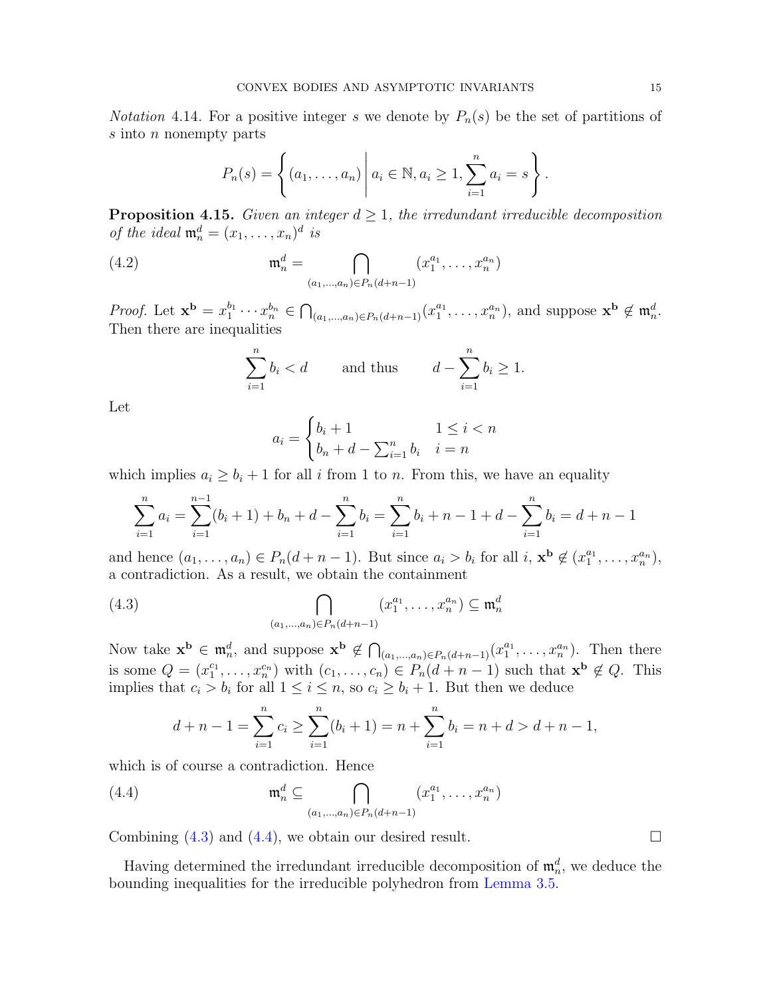*Notation* 4.14. For a positive integer s we denote by  $P_n(s)$  be the set of partitions of s into *n* nonempty parts

$$
P_n(s) = \left\{ (a_1, ..., a_n) \middle| a_i \in \mathbb{N}, a_i \ge 1, \sum_{i=1}^n a_i = s \right\}.
$$

<span id="page-14-2"></span>**Proposition 4.15.** Given an integer  $d \geq 1$ , the irredundant irreducible decomposition of the ideal  $\mathfrak{m}_n^d = (x_1, \ldots, x_n)^d$  is

(4.2) 
$$
\mathfrak{m}_n^d = \bigcap_{(a_1,\dots,a_n)\in P_n(d+n-1)} (x_1^{a_1},\dots,x_n^{a_n})
$$

*Proof.* Let  $\mathbf{x}^{\mathbf{b}} = x_1^{b_1}$  $x_1^{b_1} \cdots x_n^{b_n} \in \bigcap_{(a_1,\ldots,a_n)\in P_n(d+n-1)} (x_1^{a_1})$  $\binom{a_1}{1}, \ldots, x_n^{a_n}$ , and suppose  $\mathbf{x}^{\mathbf{b}} \notin \mathfrak{m}_n^d$ . Then there are inequalities

<span id="page-14-3"></span>
$$
\sum_{i=1}^{n} b_i < d \qquad \text{and thus} \qquad d - \sum_{i=1}^{n} b_i \ge 1.
$$

Let

$$
a_i = \begin{cases} b_i + 1 & 1 \le i < n \\ b_n + d - \sum_{i=1}^n b_i & i = n \end{cases}
$$

which implies  $a_i \geq b_i + 1$  for all i from 1 to n. From this, we have an equality

$$
\sum_{i=1}^{n} a_i = \sum_{i=1}^{n-1} (b_i + 1) + b_n + d - \sum_{i=1}^{n} b_i = \sum_{i=1}^{n} b_i + n - 1 + d - \sum_{i=1}^{n} b_i = d + n - 1
$$

and hence  $(a_1, \ldots, a_n) \in P_n(d+n-1)$ . But since  $a_i > b_i$  for all  $i, \mathbf{x}^{\mathbf{b}} \notin (x_1^{a_1}, \ldots, x_n^{a_n})$ , a contradiction. As a result, we obtain the containment

(4.3) 
$$
\bigcap_{(a_1,...,a_n)\in P_n(d+n-1)} (x_1^{a_1},...,x_n^{a_n}) \subseteq \mathfrak{m}_n^d
$$

Now take  $\mathbf{x}^{\mathbf{b}} \in \mathfrak{m}_n^d$ , and suppose  $\mathbf{x}^{\mathbf{b}} \notin \bigcap_{(a_1,...,a_n)\in P_n(d+n-1)} (x_1^{a_1})$  $x_1^{a_1}, \ldots, x_n^{a_n}$ ). Then there is some  $Q = (x_1^{c_1}, \ldots, x_n^{c_n})$  with  $(c_1, \ldots, c_n) \in P_n(d+n-1)$  such that  $\mathbf{x}^{\mathbf{b}} \notin Q$ . This implies that  $c_i > b_i$  for all  $1 \leq i \leq n$ , so  $c_i \geq b_i + 1$ . But then we deduce

<span id="page-14-1"></span><span id="page-14-0"></span>
$$
d + n - 1 = \sum_{i=1}^{n} c_i \ge \sum_{i=1}^{n} (b_i + 1) = n + \sum_{i=1}^{n} b_i = n + d > d + n - 1,
$$

which is of course a contradiction. Hence

(4.4) 
$$
\mathfrak{m}_n^d \subseteq \bigcap_{(a_1,...,a_n)\in P_n(d+n-1)} (x_1^{a_1},...,x_n^{a_n})
$$

Combining  $(4.3)$  and  $(4.4)$ , we obtain our desired result.

<span id="page-14-4"></span>Having determined the irredundant irreducible decomposition of  $\mathfrak{m}_n^d$ , we deduce the bounding inequalities for the irreducible polyhedron from [Lemma 3.5.](#page-6-2)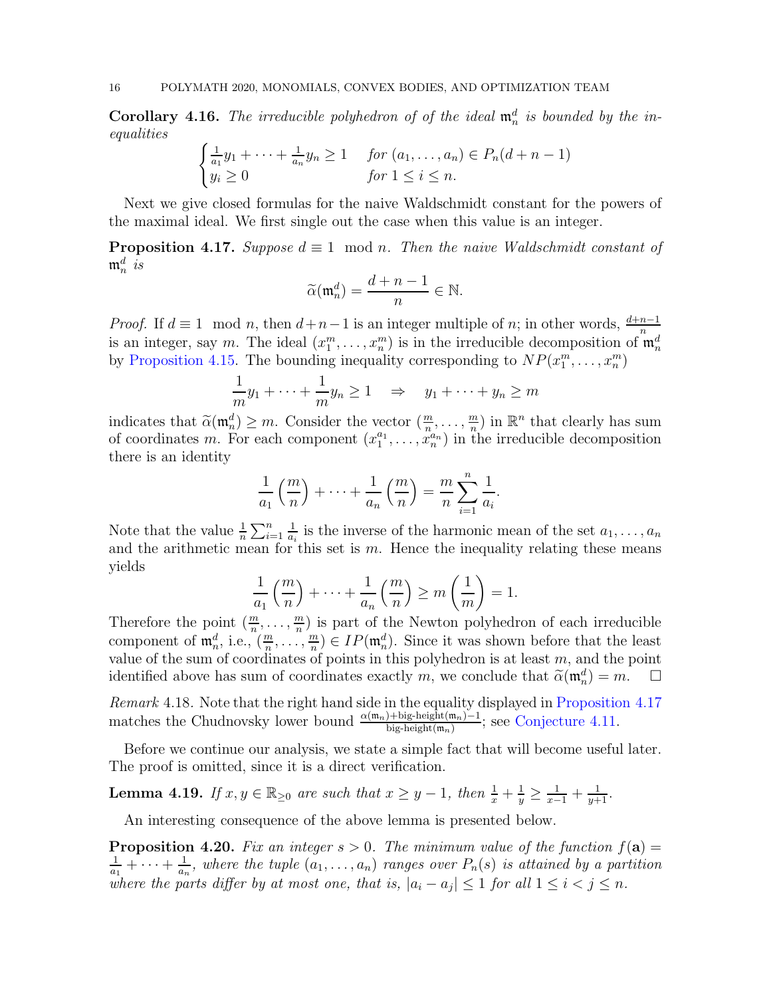**Corollary 4.16.** The irreducible polyhedron of of the ideal  $\mathfrak{m}_n^d$  is bounded by the inequalities

$$
\begin{cases} \frac{1}{a_1}y_1 + \dots + \frac{1}{a_n}y_n \ge 1 & \text{for } (a_1, \dots, a_n) \in P_n(d+n-1) \\ y_i \ge 0 & \text{for } 1 \le i \le n. \end{cases}
$$

<span id="page-15-0"></span>Next we give closed formulas for the naive Waldschmidt constant for the powers of the maximal ideal. We first single out the case when this value is an integer.

**Proposition 4.17.** Suppose  $d \equiv 1 \mod n$ . Then the naive Waldschmidt constant of  $\mathfrak{m}_n^d$  is

$$
\widetilde{\alpha}(\mathfrak{m}_n^d) = \frac{d+n-1}{n} \in \mathbb{N}.
$$

*Proof.* If  $d \equiv 1 \mod n$ , then  $d+n-1$  is an integer multiple of n; in other words,  $\frac{d+n-1}{n}$ is an integer, say m. The ideal  $(x_1^m, \ldots, x_n^m)$  is in the irreducible decomposition of  $\mathfrak{m}_n^d$ by [Proposition 4.15.](#page-14-2) The bounding inequality corresponding to  $NP(x_1^m, \ldots, x_n^m)$ 

$$
\frac{1}{m}y_1 + \dots + \frac{1}{m}y_n \ge 1 \quad \Rightarrow \quad y_1 + \dots + y_n \ge m
$$

indicates that  $\widetilde{\alpha}(\mathfrak{m}_n^d) \geq m$ . Consider the vector  $(\frac{m}{n}, \ldots, \frac{m}{n})$  $\frac{m}{n}$ ) in  $\mathbb{R}^n$  that clearly has sum of coordinates m. For each component  $(x_1^{a_1})$  $x_1^{a_1}, \ldots, x_n^{a_n}$  in the irreducible decomposition there is an identity

$$
\frac{1}{a_1}\left(\frac{m}{n}\right)+\cdots+\frac{1}{a_n}\left(\frac{m}{n}\right)=\frac{m}{n}\sum_{i=1}^n\frac{1}{a_i}.
$$

Note that the value  $\frac{1}{n} \sum_{i=1}^{n}$ 1  $\frac{1}{a_i}$  is the inverse of the harmonic mean of the set  $a_1, \ldots, a_n$ and the arithmetic mean for this set is  $m$ . Hence the inequality relating these means yields

$$
\frac{1}{a_1} \left( \frac{m}{n} \right) + \dots + \frac{1}{a_n} \left( \frac{m}{n} \right) \ge m \left( \frac{1}{m} \right) = 1.
$$

Therefore the point  $(\frac{m}{n}, \ldots, \frac{m}{n})$  $\frac{m}{n}$ ) is part of the Newton polyhedron of each irreducible component of  $\mathfrak{m}_n^d$ , i.e.,  $(\frac{m}{n}, \ldots, \frac{m}{n})$  $\binom{m}{n} \in IP(\mathfrak{m}_n^d)$ . Since it was shown before that the least value of the sum of coordinates of points in this polyhedron is at least  $m$ , and the point identified above has sum of coordinates exactly m, we conclude that  $\tilde{\alpha}(\mathfrak{m}_n^d) = m$ .  $\Box$ 

<span id="page-15-3"></span>Remark 4.18. Note that the right hand side in the equality displayed in [Proposition 4.17](#page-15-0) matches the Chudnovsky lower bound  $\frac{\alpha(m_n)+\text{big-hight}(m_n)-1}{\text{big-hight}(m_n)}$ ; see [Conjecture 4.11.](#page-12-0)

<span id="page-15-1"></span>Before we continue our analysis, we state a simple fact that will become useful later. The proof is omitted, since it is a direct verification.

**Lemma 4.19.** If  $x, y \in \mathbb{R}_{\geq 0}$  are such that  $x \geq y - 1$ , then  $\frac{1}{x} + \frac{1}{y} \geq \frac{1}{x-1} + \frac{1}{y+1}$ .

<span id="page-15-2"></span>An interesting consequence of the above lemma is presented below.

**Proposition 4.20.** Fix an integer  $s > 0$ . The minimum value of the function  $f(\mathbf{a}) =$ 1  $\frac{1}{a_1} + \cdots + \frac{1}{a_r}$  $\frac{1}{a_n}$ , where the tuple  $(a_1, \ldots, a_n)$  ranges over  $P_n(s)$  is attained by a partition where the parts differ by at most one, that is,  $|a_i - a_j| \leq 1$  for all  $1 \leq i < j \leq n$ .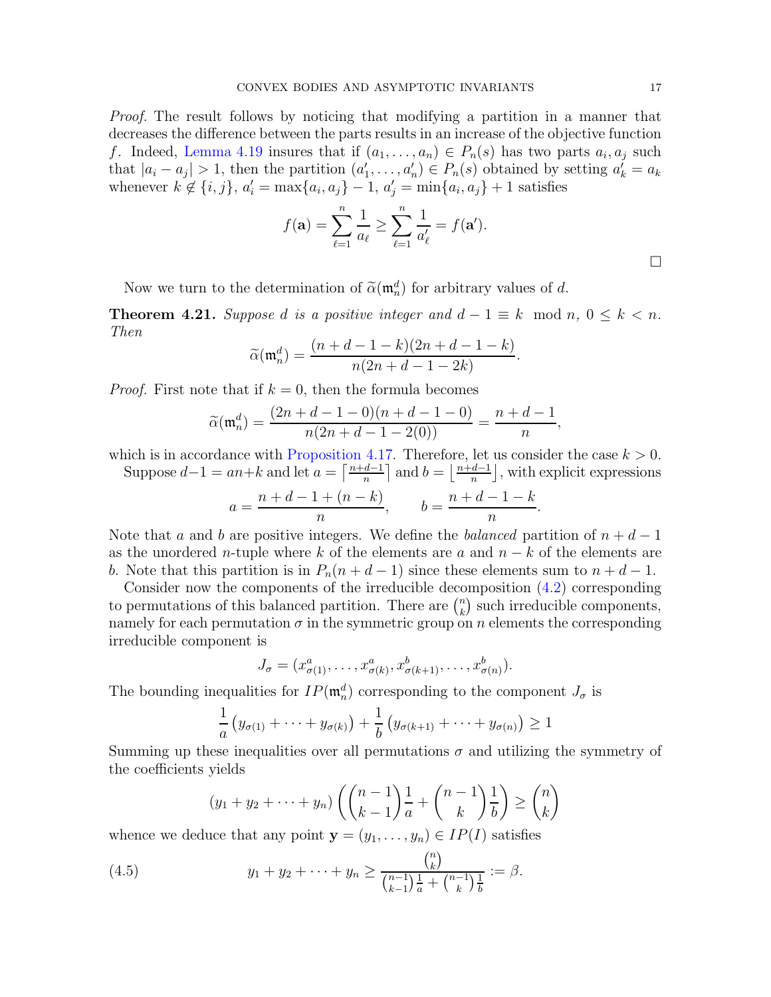Proof. The result follows by noticing that modifying a partition in a manner that decreases the difference between the parts results in an increase of the objective function f. Indeed, [Lemma 4.19](#page-15-1) insures that if  $(a_1, \ldots, a_n) \in P_n(s)$  has two parts  $a_i, a_j$  such that  $|a_i - a_j| > 1$ , then the partition  $(a'_1, \ldots, a'_n) \in P_n(s)$  obtained by setting  $a'_k = a_k$ whenever  $k \notin \{i, j\}$ ,  $a'_i = \max\{a_i, a_j\} - 1$ ,  $a'_j = \min\{a_i, a_j\} + 1$  satisfies

$$
f(\mathbf{a}) = \sum_{\ell=1}^{n} \frac{1}{a_{\ell}} \ge \sum_{\ell=1}^{n} \frac{1}{a'_{\ell}} = f(\mathbf{a}').
$$

<span id="page-16-1"></span>Now we turn to the determination of  $\tilde{\alpha}(\mathfrak{m}_n^d)$  for arbitrary values of d.

**Theorem 4.21.** Suppose d is a positive integer and  $d-1 \equiv k \mod n$ ,  $0 \leq k < n$ . Then

$$
\widetilde{\alpha}(\mathfrak{m}_n^d) = \frac{(n+d-1-k)(2n+d-1-k)}{n(2n+d-1-2k)}.
$$

*Proof.* First note that if  $k = 0$ , then the formula becomes

$$
\widetilde{\alpha}(\mathfrak{m}_n^d) = \frac{(2n+d-1-0)(n+d-1-0)}{n(2n+d-1-2(0))} = \frac{n+d-1}{n},
$$

which is in accordance with [Proposition 4.17.](#page-15-0) Therefore, let us consider the case  $k > 0$ .

Suppose  $d-1 = an+k$  and let  $a = \left\lceil \frac{n+d-1}{n} \right\rceil$  and  $b = \left\lfloor \frac{n+d-1}{n} \right\rfloor$ , with explicit expressions

$$
a = \frac{n + d - 1 + (n - k)}{n}
$$
,  $b = \frac{n + d - 1 - k}{n}$ .

Note that a and b are positive integers. We define the balanced partition of  $n + d - 1$ as the unordered *n*-tuple where k of the elements are a and  $n - k$  of the elements are b. Note that this partition is in  $P_n(n + d - 1)$  since these elements sum to  $n + d - 1$ .

Consider now the components of the irreducible decomposition [\(4.2\)](#page-14-3) corresponding to permutations of this balanced partition. There are  $\binom{n}{k}$  $\binom{n}{k}$  such irreducible components, namely for each permutation  $\sigma$  in the symmetric group on n elements the corresponding irreducible component is

$$
J_{\sigma} = (x_{\sigma(1)}^a, \dots, x_{\sigma(k)}^a, x_{\sigma(k+1)}^b, \dots, x_{\sigma(n)}^b).
$$

The bounding inequalities for  $IP(\mathfrak{m}_n^d)$  corresponding to the component  $J_{\sigma}$  is

$$
\frac{1}{a}\left(y_{\sigma(1)}+\cdots+y_{\sigma(k)}\right)+\frac{1}{b}\left(y_{\sigma(k+1)}+\cdots+y_{\sigma(n)}\right)\geq 1
$$

Summing up these inequalities over all permutations  $\sigma$  and utilizing the symmetry of the coefficients yields

<span id="page-16-0"></span>
$$
(y_1 + y_2 + \dots + y_n) \left( \binom{n-1}{k-1} \frac{1}{a} + \binom{n-1}{k} \frac{1}{b} \right) \ge \binom{n}{k}
$$

whence we deduce that any point  $y = (y_1, \ldots, y_n) \in IP(I)$  satisfies

(4.5) 
$$
y_1 + y_2 + \cdots + y_n \ge \frac{\binom{n}{k}}{\binom{n-1}{k-1}\frac{1}{a} + \binom{n-1}{k}\frac{1}{b}} := \beta.
$$

 $\Box$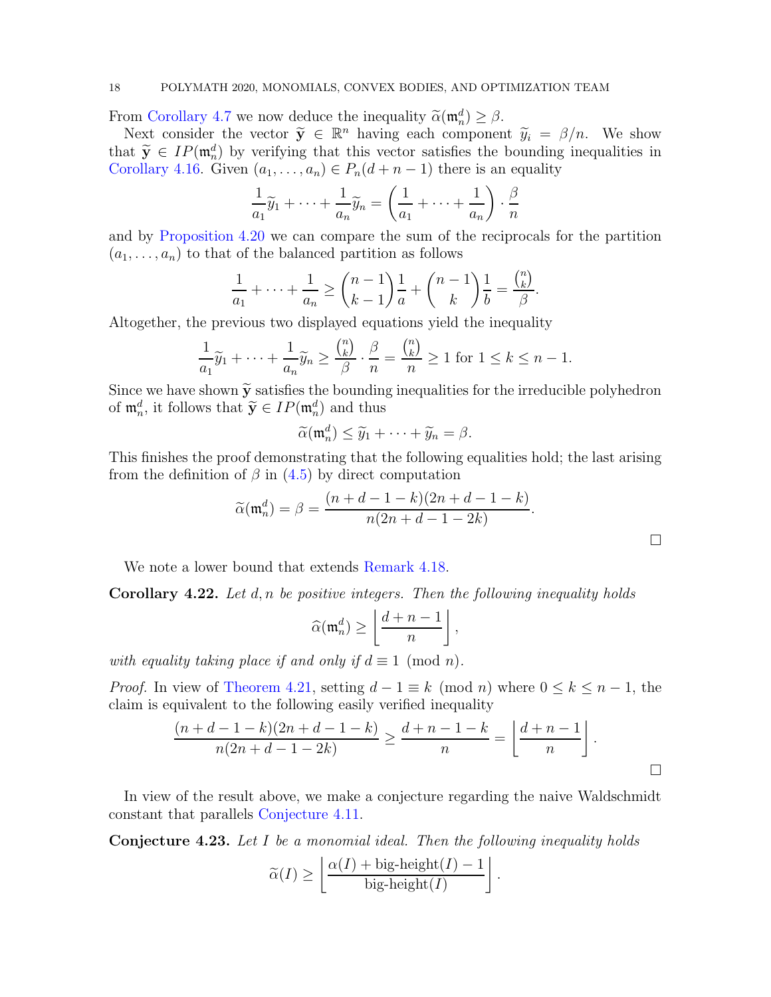### 18 POLYMATH 2020, MONOMIALS, CONVEX BODIES, AND OPTIMIZATION TEAM

From [Corollary 4.7](#page-11-0) we now deduce the inequality  $\tilde{\alpha}(\mathfrak{m}_n^d) \geq \beta$ .

Next consider the vector  $\tilde{y} \in \mathbb{R}^n$  having each component  $\tilde{y}_i = \beta/n$ . We show that  $\widetilde{\mathbf{y}} \in IP(\mathfrak{m}_n^d)$  by verifying that this vector satisfies the bounding inequalities in [Corollary 4.16.](#page-14-4) Given  $(a_1, \ldots, a_n) \in P_n(d + n - 1)$  there is an equality

$$
\frac{1}{a_1}\widetilde{y}_1 + \dots + \frac{1}{a_n}\widetilde{y}_n = \left(\frac{1}{a_1} + \dots + \frac{1}{a_n}\right) \cdot \frac{\beta}{n}
$$

and by [Proposition 4.20](#page-15-2) we can compare the sum of the reciprocals for the partition  $(a_1, \ldots, a_n)$  to that of the balanced partition as follows

$$
\frac{1}{a_1} + \dots + \frac{1}{a_n} \ge \binom{n-1}{k-1} \frac{1}{a} + \binom{n-1}{k} \frac{1}{b} = \frac{\binom{n}{k}}{\beta}.
$$

Altogether, the previous two displayed equations yield the inequality

$$
\frac{1}{a_1}\widetilde{y}_1 + \dots + \frac{1}{a_n}\widetilde{y}_n \ge \frac{{n \choose k}}{\beta} \cdot \frac{\beta}{n} = \frac{{n \choose k}}{n} \ge 1 \text{ for } 1 \le k \le n-1.
$$

Since we have shown  $\tilde{y}$  satisfies the bounding inequalities for the irreducible polyhedron of  $\mathfrak{m}_n^d$ , it follows that  $\widetilde{\mathbf{y}} \in IP(\mathfrak{m}_n^d)$  and thus

$$
\widetilde{\alpha}(\mathfrak{m}_n^d) \leq \widetilde{y}_1 + \cdots + \widetilde{y}_n = \beta.
$$

This finishes the proof demonstrating that the following equalities hold; the last arising from the definition of  $\beta$  in [\(4.5\)](#page-16-0) by direct computation

$$
\widetilde{\alpha}(\mathfrak{m}_n^d) = \beta = \frac{(n+d-1-k)(2n+d-1-k)}{n(2n+d-1-2k)}.
$$

 $\Box$ 

We note a lower bound that extends [Remark 4.18.](#page-15-3)

**Corollary 4.22.** Let  $d, n$  be positive integers. Then the following inequality holds

$$
\widehat{\alpha}(\mathfrak{m}_n^d) \ge \left\lfloor \frac{d+n-1}{n} \right\rfloor,
$$

with equality taking place if and only if  $d \equiv 1 \pmod{n}$ .

*Proof.* In view of [Theorem 4.21,](#page-16-1) setting  $d-1 \equiv k \pmod{n}$  where  $0 \leq k \leq n-1$ , the claim is equivalent to the following easily verified inequality

$$
\frac{(n+d-1-k)(2n+d-1-k)}{n(2n+d-1-2k)} \ge \frac{d+n-1-k}{n} = \left\lfloor \frac{d+n-1}{n} \right\rfloor.
$$

<span id="page-17-0"></span>In view of the result above, we make a conjecture regarding the naive Waldschmidt constant that parallels [Conjecture 4.11.](#page-12-0)

Conjecture 4.23. Let I be a monomial ideal. Then the following inequality holds

$$
\widetilde{\alpha}(I) \ge \left\lfloor \frac{\alpha(I) + \text{big-height}(I) - 1}{\text{big-height}(I)} \right\rfloor.
$$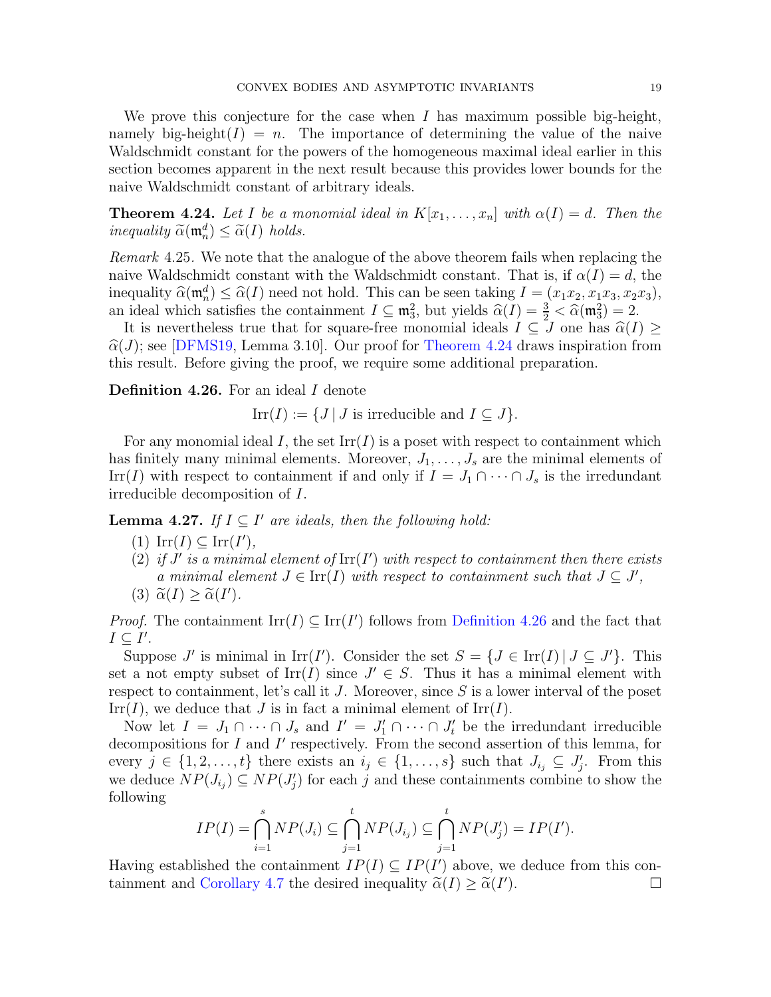We prove this conjecture for the case when  $I$  has maximum possible big-height, namely big-height( $I$ ) = n. The importance of determining the value of the naive Waldschmidt constant for the powers of the homogeneous maximal ideal earlier in this section becomes apparent in the next result because this provides lower bounds for the naive Waldschmidt constant of arbitrary ideals.

<span id="page-18-0"></span>**Theorem 4.24.** Let I be a monomial ideal in  $K[x_1, \ldots, x_n]$  with  $\alpha(I) = d$ . Then the inequality  $\widetilde{\alpha}(\mathfrak{m}_n^d) \leq \widetilde{\alpha}(I)$  holds.

Remark 4.25. We note that the analogue of the above theorem fails when replacing the naive Waldschmidt constant with the Waldschmidt constant. That is, if  $\alpha(I) = d$ , the inequality  $\widehat{\alpha}(\mathfrak{m}_n^d) \leq \widehat{\alpha}(I)$  need not hold. This can be seen taking  $I = (x_1x_2, x_1x_3, x_2x_3)$ , an ideal which satisfies the containment  $I \subseteq \mathfrak{m}_3^2$ , but yields  $\widehat{\alpha}(I) = \frac{3}{2} < \widehat{\alpha}(\mathfrak{m}_3^2) = 2$ .

It is nevertheless true that for square-free monomial ideals  $I \subseteq J$  one has  $\widehat{\alpha}(I) \geq$  $\hat{\alpha}(J)$ ; see [\[DFMS19,](#page-19-12) Lemma 3.10]. Our proof for [Theorem 4.24](#page-18-0) draws inspiration from this result. Before giving the proof, we require some additional preparation.

<span id="page-18-1"></span>Definition 4.26. For an ideal I denote

 $\text{Irr}(I) := \{J \mid J \text{ is irreducible and } I \subseteq J\}.$ 

For any monomial ideal I, the set  $\text{Irr}(I)$  is a poset with respect to containment which has finitely many minimal elements. Moreover,  $J_1, \ldots, J_s$  are the minimal elements of Irr(I) with respect to containment if and only if  $I = J_1 \cap \cdots \cap J_s$  is the irredundant irreducible decomposition of I.

<span id="page-18-2"></span>**Lemma 4.27.** If  $I \subseteq I'$  are ideals, then the following hold:

- $(\text{1}) \operatorname{Irr}(I) \subseteq \operatorname{Irr}(I'),$
- (2) if  $J'$  is a minimal element of  $\text{Irr}(I')$  with respect to containment then there exists a minimal element  $J \in \text{Irr}(I)$  with respect to containment such that  $J \subseteq J'$ , (3)  $\widetilde{\alpha}(I) \geq \widetilde{\alpha}(I').$

*Proof.* The containment  $\text{Irr}(I) \subseteq \text{Irr}(I')$  follows from [Definition 4.26](#page-18-1) and the fact that  $I\subseteq I'.$ 

Suppose J' is minimal in  $\text{Irr}(I')$ . Consider the set  $S = \{J \in \text{Irr}(I) | J \subseteq J'\}$ . This set a not empty subset of  $\text{Irr}(I)$  since  $J' \in S$ . Thus it has a minimal element with respect to containment, let's call it  $J$ . Moreover, since  $S$  is a lower interval of the poset  $\text{Irr}(I)$ , we deduce that J is in fact a minimal element of  $\text{Irr}(I)$ .

Now let  $I = J_1 \cap \cdots \cap J_s$  and  $I' = J'_1 \cap \cdots \cap J'_t$  be the irredundant irreducible decompositions for I and I' respectively. From the second assertion of this lemma, for every  $j \in \{1, 2, \ldots, t\}$  there exists an  $i_j \in \{1, \ldots, s\}$  such that  $J_{i_j} \subseteq J'_j$ . From this we deduce  $NP(J_{i_j}) \subseteq NP(J'_{j})$  for each j and these containments combine to show the following

$$
IP(I) = \bigcap_{i=1}^s NP(J_i) \subseteq \bigcap_{j=1}^t NP(J_{i_j}) \subseteq \bigcap_{j=1}^t NP(J'_j) = IP(I').
$$

Having established the containment  $IP(I) \subseteq IP(I')$  above, we deduce from this con-tainment and [Corollary 4.7](#page-11-0) the desired inequality  $\tilde{\alpha}(I) \ge \tilde{\alpha}(I')$  $\Box$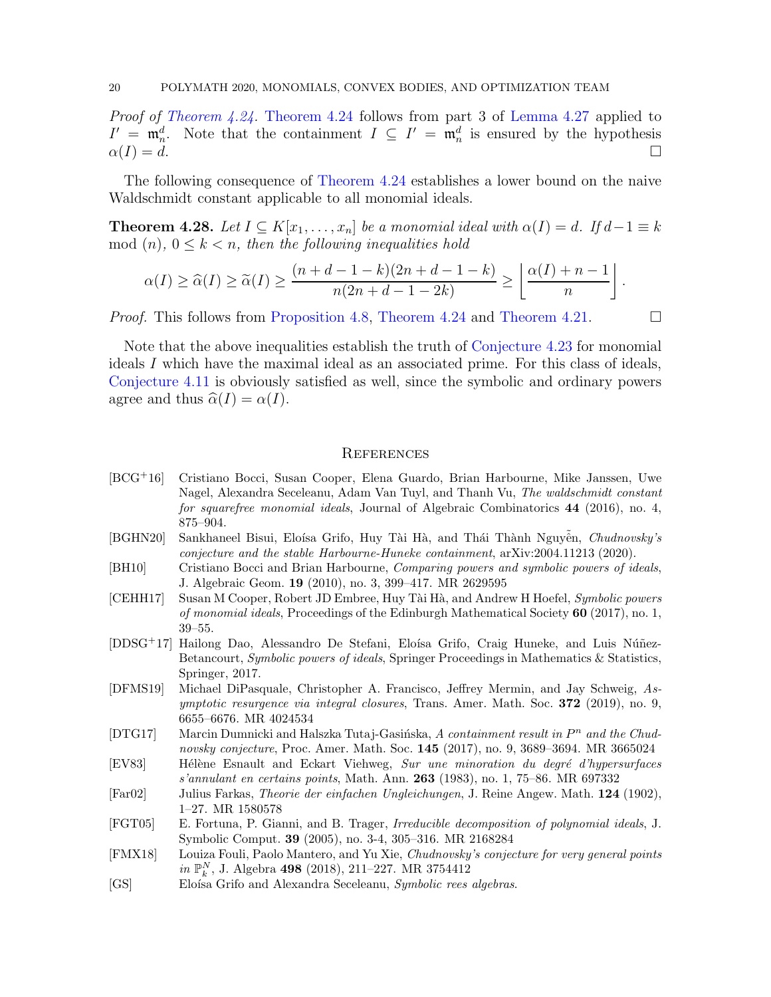Proof of [Theorem 4.24.](#page-18-0) [Theorem 4.24](#page-18-0) follows from part 3 of [Lemma 4.27](#page-18-2) applied to  $I' = \mathfrak{m}_n^d$ . Note that the containment  $I \subseteq I' = \mathfrak{m}_n^d$  is ensured by the hypothesis  $\alpha(I) = d.$ 

<span id="page-19-9"></span>The following consequence of [Theorem 4.24](#page-18-0) establishes a lower bound on the naive Waldschmidt constant applicable to all monomial ideals.

**Theorem 4.28.** Let  $I \subseteq K[x_1, \ldots, x_n]$  be a monomial ideal with  $\alpha(I) = d$ . If  $d-1 \equiv k$ mod  $(n)$ ,  $0 \leq k < n$ , then the following inequalities hold

$$
\alpha(I) \geq \widehat{\alpha}(I) \geq \widetilde{\alpha}(I) \geq \frac{(n+d-1-k)(2n+d-1-k)}{n(2n+d-1-2k)} \geq \left\lfloor \frac{\alpha(I)+n-1}{n} \right\rfloor.
$$

*Proof.* This follows from [Proposition 4.8,](#page-11-1) [Theorem 4.24](#page-18-0) and [Theorem 4.21.](#page-16-1)  $\Box$ 

Note that the above inequalities establish the truth of [Conjecture 4.23](#page-17-0) for monomial ideals I which have the maximal ideal as an associated prime. For this class of ideals, [Conjecture 4.11](#page-12-0) is obviously satisfied as well, since the symbolic and ordinary powers agree and thus  $\widehat{\alpha}(I) = \alpha(I)$ .

#### **REFERENCES**

- <span id="page-19-3"></span>[BCG<sup>+</sup>16] Cristiano Bocci, Susan Cooper, Elena Guardo, Brian Harbourne, Mike Janssen, Uwe Nagel, Alexandra Seceleanu, Adam Van Tuyl, and Thanh Vu, The waldschmidt constant for squarefree monomial ideals, Journal of Algebraic Combinatorics 44 (2016), no. 4, 875–904.
- <span id="page-19-8"></span>[BGHN20] Sankhaneel Bisui, Eloísa Grifo, Huy Tài Hà, and Thái Thành Nguyên, Chudnovsky's conjecture and the stable Harbourne-Huneke containment, arXiv:2004.11213 (2020).
- <span id="page-19-4"></span>[BH10] Cristiano Bocci and Brian Harbourne, Comparing powers and symbolic powers of ideals, J. Algebraic Geom. 19 (2010), no. 3, 399–417. MR 2629595
- <span id="page-19-2"></span>[CEHH17] Susan M Cooper, Robert JD Embree, Huy Tài Hà, and Andrew H Hoefel, Symbolic powers of monomial ideals, Proceedings of the Edinburgh Mathematical Society  $60$  (2017), no. 1, 39–55.
- <span id="page-19-0"></span>[DDSG<sup>+</sup>17] Hailong Dao, Alessandro De Stefani, Eloísa Grifo, Craig Huneke, and Luis Núñez-Betancourt, Symbolic powers of ideals, Springer Proceedings in Mathematics & Statistics, Springer, 2017.
- <span id="page-19-12"></span>[DFMS19] Michael DiPasquale, Christopher A. Francisco, Jeffrey Mermin, and Jay Schweig, As*ymptotic resurgence via integral closures*, Trans. Amer. Math. Soc.  $372$  (2019), no. 9, 6655–6676. MR 4024534
- <span id="page-19-7"></span>[DTG17] Marcin Dumnicki and Halszka Tutaj-Gasińska, A containment result in  $P^n$  and the Chudnovsky conjecture, Proc. Amer. Math. Soc. 145 (2017), no. 9, 3689–3694. MR 3665024
- <span id="page-19-5"></span>[EV83] Hélène Esnault and Eckart Viehweg, Sur une minoration du degré d'hypersurfaces s'annulant en certains points, Math. Ann. 263 (1983), no. 1, 75–86. MR 697332
- <span id="page-19-11"></span>[Far02] Julius Farkas, Theorie der einfachen Ungleichungen, J. Reine Angew. Math. 124 (1902), 1–27. MR 1580578
- <span id="page-19-10"></span>[FGT05] E. Fortuna, P. Gianni, and B. Trager, Irreducible decomposition of polynomial ideals, J. Symbolic Comput. 39 (2005), no. 3-4, 305–316. MR 2168284
- <span id="page-19-6"></span>[FMX18] Louiza Fouli, Paolo Mantero, and Yu Xie, Chudnovsky's conjecture for very general points in  $\mathbb{P}_k^N$ , J. Algebra 498 (2018), 211–227. MR 3754412
- <span id="page-19-1"></span>[GS] Eloísa Grifo and Alexandra Seceleanu, Symbolic rees algebras.